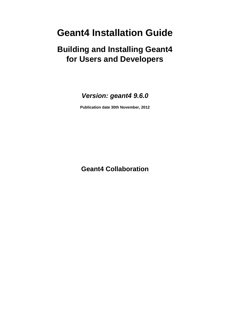# **Geant4 Installation Guide**

# **Building and Installing Geant4 for Users and Developers**

### **Version: geant4 9.6.0**

**Publication date 30th November, 2012**

**Geant4 Collaboration**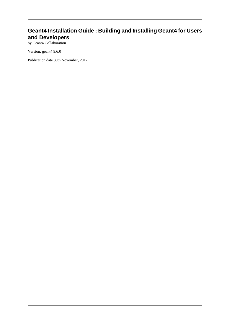#### **Geant4 Installation Guide : Building and Installing Geant4 for Users and Developers**

by Geant4 Collaboration

Version: geant4 9.6.0

Publication date 30th November, 2012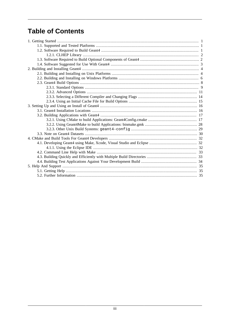## **Table of Contents**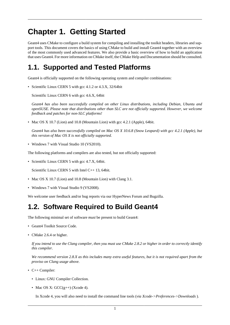# <span id="page-3-0"></span>**Chapter 1. Getting Started**

Geant4 uses [CMake](http://cmake.org) to configure a build system for compiling and installing the toolkit headers, libraries and support tools. This document covers the basics of using CMake to build and install Geant4 together with an overview of the most commonly used advanced features. We also provide a basic overview of how to build an application that uses Geant4. For more information on CMake itself, the [CMake Help](http://www.cmake.org/cmake/help/help.html) and [Documentation](http://www.cmake.org/cmake/help/documentation.html) should be consulted.

## <span id="page-3-1"></span>**1.1. Supported and Tested Platforms**

Geant4 is officially supported on the following operating system and compiler combinations:

• [Scientific Linux CERN 5](http://linux.web.cern.ch/linux/scientific5/) with [gcc](http://gcc.gnu.org/) 4.1.2 or 4.3.X, 32/64bit

[Scientific Linux CERN 6](http://linux.web.cern.ch/linux/scientific6/) with [gcc](http://gcc.gnu.org/) 4.6.X, 64bit

*Geant4 has also been successfully compiled on other Linux distributions, including Debian, Ubuntu and openSUSE. Please note that distributions other than SLC are not officially supported. However, we welcome feedback and patches for non-SLC platforms!*

• [Mac OS X](http://www.apple.com/osx/) 10.7 (Lion) and 10.8 (Mountain Lion) with gcc 4.2.1 (Apple), 64bit.

*Geant4 has also been successfully compiled on Mac OS X 10.6.8 (Snow Leopard) with gcc 4.2.1 (Apple), but this version of Mac OS X is not officially supported.*

• [Windows 7](http://windows.microsoft.com/en-GB/windows7/get-know-windows-7) with [Visual Studio](http://www.microsoft.com/visualstudio) 10 (VS2010).

The following platforms and compilers are also tested, but not officially supported:

• Scientific Linux CERN 5 with gcc 4.7.X, 64bit.

Scientific Linux CERN 5 with Intel C++ 13, 64bit.

- Mac OS X 10.7 (Lion) and 10.8 (Mountain Lion) with Clang 3.1.
- Windows 7 with Visual Studio 9 (VS2008).

We welcome user feedback and/or bug reports via our [HyperNews Forum](http://hypernews.slac.stanford.edu/HyperNews/geant4/get/installconfig.html) and [Bugzilla](http://bugzilla-geant4.kek.jp/).

## <span id="page-3-2"></span>**1.2. Software Required to Build Geant4**

The following minimal set of software *must* be present to build Geant4:

- Geant4 Toolkit [Source Code.](http://geant4.cern.ch/support/download.shtml)
- [CMake](http://www.cmake.org) 2.6.4 or higher.

*If you intend to use the Clang compiler, then you must use CMake 2.8.2 or higher in order to correctly identify this compiler.*

*We recommend version 2.8.X as this includes many extra useful features, but it is not required apart from the proviso on Clang usage above.*

- C++ Compiler:
	- Linux: [GNU Compiler Collection](http://gcc.gnu.org/).
	- Mac OS X:  $GCC(g++)$  [\(Xcode](http://developer.apple.com/xcode/) 4).

In Xcode 4, you will also need to install the command line tools (*via Xcode->Preferences->Downloads* ).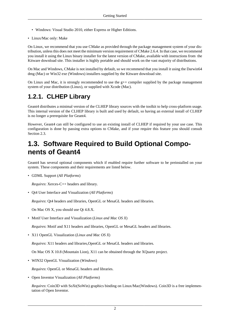- Windows: Visual Studio 2010, either [Express](http://www.microsoft.com/express) or [Higher Editions.](http://www.microsoft.com/visualstudio)
- Linux/Mac only: Make

On Linux, we recommend that you use CMake as provided through the package management system of your distribution, unless this does not meet the minimum version requirement of CMake 2.6.4. In that case, we recommend you install it using the Linux binary installer for the latest version of CMake, available with instructions from [the](http://cmake.org/cmake/resources/software.html) [Kitware download site.](http://cmake.org/cmake/resources/software.html) This installer is highly portable and should work on the vast majority of distributions.

On Mac and Windows, CMake is not installed by default, so we recommend that you install it using the Darwin64 dmg (Mac) or Win32 exe (Windows) installers supplied by [the Kitware download site](http://cmake.org/cmake/resources/software.html).

On Linux and Mac, it is strongly recommended to use the g++ compiler supplied by the package management system of your distribution (Linux), or supplied with Xcode (Mac).

#### <span id="page-4-0"></span>**1.2.1. CLHEP Library**

Geant4 distributes a minimal version of the [CLHEP library](http://proj-clhep.web.cern.ch/proj-clhep/) sources with the toolkit to help cross-platform usage. This internal version of the CLHEP library is built and used by default, so having an external install of CLHEP is no longer a prerequisite for Geant4.

However, Geant4 can still be configured to use an existing install of CLHEP if required by your use case. This configuration is done by passing extra options to CMake, and if your require this feature you should consult [Section 2.3](#page-10-0).

## <span id="page-4-1"></span>**1.3. Software Required to Build Optional Components of Geant4**

Geant4 has several optional components which if enabled require further software to be preinstalled on your system. These components and their requirements are listed below.

• GDML Support (*All Platforms*)

*Requires*: [Xerces-C++ headers and library](http://xerces.apache.org/xerces-c/download.cgi).

• Qt4 User Interface and Visualization (*All Platforms*)

*Requires*: [Qt4 headers and libraries](http://qt-project.org/downloads#qt-lib), [OpenGL](http://www.opengl.org/) or [MesaGL](http://www.mesa3d.org/) headers and libraries.

On Mac OS X, you should use Qt 4.8.X.

• Motif User Interface and Visualization (*Linux and Mac OS X*)

*Requires*: [Motif](http://www.openmotif.org/) and X11 headers and libraries, [OpenGL](http://www.opengl.org/) or [MesaGL](http://www.mesa3d.org/) headers and libraries.

• X11 OpenGL Visualization (*Linux and Mac OS X*)

*Requires*: X11 headers and libraries,[OpenGL](http://www.opengl.org/) or [MesaGL](http://www.mesa3d.org/) headers and libraries.

On Mac OS X 10.8 (Mountain Lion), X11 can be obtained through the [XQuartz](http://xquartz.macosforge.org) project.

• WIN32 OpenGL Visualization (*Windows*)

*Requires*: [OpenGL](http://www.opengl.org/) or [MesaGL](http://www.mesa3d.org/) headers and libraries.

• Open Inventor Visualization (*All Platforms*)

*Requires*: [Coin3D](http://www.coin3d.org/) with SoXt(SoWin) graphics binding on Linux/Mac(Windows). Coin3D is a free implementation of Open Inventor.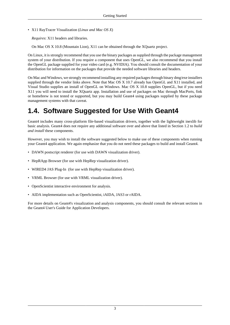• X11 RayTracer Visualization (*Linux and Mac OS X*)

*Requires*: X11 headers and libraries.

On Mac OS X 10.8 (Mountain Lion), X11 can be obtained through the [XQuartz](http://xquartz.macosforge.org) project.

On Linux, it is strongly recommend that you use the binary packages as supplied through the package management system of your distribution. If you require a component that uses OpenGL, we also recommend that you install the OpenGL package supplied for your video card (e.g. NVIDIA). You should consult the documentation of your distribution for information on the packages that provide the needed software libraries and headers.

On Mac and Windows, we strongly recommend installing any required packages through binary dmg/exe installers supplied through the vendor links above. Note that Mac OS X 10.7 already has OpenGL and X11 installed, and Visual Studio supplies an install of OpenGL on Windows. Mac OS X 10.8 supplies OpenGL, but if you need X11 you will need to install the [XQuartz](http://xquartz.macosforge.org) app. Installation and use of packages on Mac through [MacPorts,](http://www.macports.org/) [fink](http://www.finkproject.org/) or [homebrew](http://mxcl.github.com/homebrew/) is not tested or supported, but you may build Geant4 using packages supplied by these package management systems with that caveat.

## <span id="page-5-0"></span>**1.4. Software Suggested for Use With Geant4**

Geant4 includes many cross-platform file-based visualization drivers, together with the lightweight [inexlib](http://inexlib.lal.in2p3.fr) for basic analysis. Geant4 does not require any additional software over and above that listed in [Section 1.2](#page-3-2) to *build and install* these components.

However, you may wish to install the software suggested below to make use of these components when running your Geant4 application. We again emphasize that you do not need these packages to build and install Geant4.

- [DAWN](http://geant4.kek.jp/GEANT4/vis/) postscript renderer (for use with DAWN visualization driver).
- [HepRApp Browser](http://www.slac.stanford.edu/BFROOT/www/Computing/Graphics/Wired/) (for use with [HepRep](http://www.slac.stanford.edu/~perl/heprep/) visualization driver).
- [WIRED4 JAS Plug-In](http://wired.freehep.org/) (for use with [HepRep](http://www.slac.stanford.edu/~perl/heprep/) visualization driver).
- VRML Browser (for use with VRML visualization driver).
- [OpenScientist](http://openscientist.lal.in2p3.fr/) interactive environment for analysis.
- [AIDA](http://aida.freehep.org/) implementation such as [OpenScientist,](http://openscientist.lal.in2p3.fr/) [iAIDA](http://iaida.dynalias.net/Intro.html), [JAS3](http://jas.freehep.org/jas3/) or [rAIDA.](http://ilcsoft.desy.de/portal/software_packages/raida/)

For more details on Geant4's visualization and analysis components, you should consult the relevant sections in the [Geant4 User's Guide for Application Developers.](http://cern.ch/geant4/UserDocumentation/UsersGuides/ForApplicationDeveloper/html/index.html)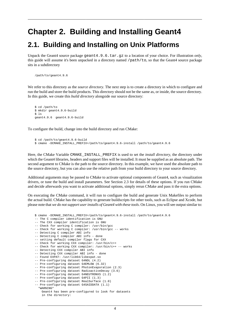## <span id="page-6-0"></span>**Chapter 2. Building and Installing Geant4**

#### <span id="page-6-1"></span>**2.1. Building and Installing on Unix Platforms**

Unpack the Geant4 source package geant4.9.6.tar.gz to a location of your choice. For illustration *only*, this guide will assume it's been unpacked in a directory named /path/to, so that the Geant4 source package sits in a subdirectory

```
 /path/to/geant4.9.6
```
We refer to this directory as the *source directory*. The next step is to create a directory in which to configure and run the build and store the build products. This directory should not be the same as, or inside, the source directory. In this guide, we create this *build directory* alongside our source directory:

```
 $ cd /path/to
 $ mkdir geant4.9.6-build
$ 1s geant4.9.6 geant4.9.6-build
```
To configure the build, change into the build directory and run CMake:

```
 $ cd /path/to/geant4.9.6-build
 $ cmake -DCMAKE_INSTALL_PREFIX=/path/to/geant4.9.6-install /path/to/geant4.9.6
```
Here, the CMake Variable CMAKE\_INSTALL\_PREFIX is used to set the *install directory*, the directory under which the Geant4 libraries, headers and support files will be installed. It must be supplied as an absolute path. The second argument to CMake is the path to the source directory. In this example, we have used the absolute path to the source directory, but you can also use the relative path from your build directory to your source directory.

Additional arguments may be passed to CMake to activate optional components of Geant4, such as visualization drivers, or tune the build and install parameters. See [Section 2.3](#page-10-0) for details of these options. If you run CMake and decide afterwards you want to activate additional options, simply rerun CMake and pass it the extra options.

On executing the CMake command, it will run to configure the build and generate Unix Makefiles to perform the actual build. CMake has the capability to generate buildscripts for other tools, such as Eclipse and Xcode, but please note that *we do not support user installs of Geant4 with these tools*. On Linux, you will see output similar to:

```
 $ cmake -DCMAKE_INSTALL_PREFIX=/path/to/geant4.9.6-install /path/to/geant4.9.6
  -- The C compiler identification is GNU
 -- The CXX compiler identification is GNU
 -- Check for working C compiler: /usr/bin/gcc
-- Check for working C compiler: /usr/bin/gcc -- works
 -- Detecting C compiler ABI info
 -- Detecting C compiler ABI info - done
 -- setting default compiler flags for CXX
 -- Check for working CXX compiler: /usr/bin/c++
 -- Check for working CXX compiler: /usr/bin/c++ -- works
 -- Detecting CXX compiler ABI info
-- Detecting CXX compiler ABI info - done
 -- Found EXPAT: /usr/lib64/libexpat.so
 -- Pre-configuring dataset G4NDL (4.2)
 -- Pre-configuring dataset G4EMLOW (6.32)
 -- Pre-configuring dataset PhotonEvaporation (2.3)
 -- Pre-configuring dataset RadioactiveDecay (3.6)
 -- Pre-configuring dataset G4NEUTRONXS (1.2)
 -- Pre-configuring dataset G4PII (1.3)
 -- Pre-configuring dataset RealSurface (1.0)
 -- Pre-configuring dataset G4SAIDDATA (1.1)
   *WARNING*
    Geant4 has been pre-configured to look for datasets
     in the directory:
```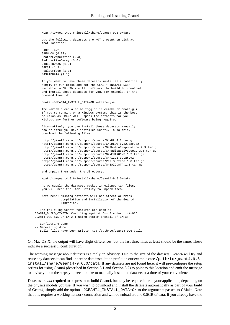/path/to/geant4.9.6-install/share/Geant4-9.6.0/data

 but the following datasets are NOT present on disk at that location:

 G4NDL (4.2) G4EMLOW (6.32) PhotonEvaporation (2.3) RadioactiveDecay (3.6) G4NEUTRONXS (1.2) G4PII (1.3) RealSurface (1.0) G4SAIDDATA (1.1)

 If you want to have these datasets installed automatically simply re-run cmake and set the GEANT4 INSTALL DATA variable to ON. This will configure the build to download and install these datasets for you. For example, on the command line, do:

cmake -DGEANT4\_INSTALL\_DATA=ON <otherargs>

 The variable can also be toggled in ccmake or cmake-gui. If you're running on a Windows system, this is the best solution as CMake will unpack the datasets for you without any further software being required

 Alternatively, you can install these datasets manually now or after you have installed Geant4. To do this, download the following files:

```
 http://geant4.cern.ch/support/source/G4NDL.4.2.tar.gz
 http://geant4.cern.ch/support/source/G4EMLOW.6.32.tar.gz
 http://geant4.cern.ch/support/source/G4PhotonEvaporation.2.3.tar.gz
 http://geant4.cern.ch/support/source/G4RadioactiveDecay.3.6.tar.gz
 http://geant4.cern.ch/support/source/G4NEUTRONXS.1.2.tar.gz
 http://geant4.cern.ch/support/source/G4PII.1.3.tar.gz
 http://geant4.cern.ch/support/source/RealSurface.1.0.tar.gz
 http://geant4.cern.ch/support/source/G4SAIDDATA.1.1.tar.gz
```
and unpack them under the directory:

/path/to/geant4.9.6-install/share/Geant4-9.6.0/data

 As we supply the datasets packed in gzipped tar files, you will need the 'tar' utility to unpack them.

 Nota bene: Missing datasets will not affect or break compilation and installation of the Geant4 libraries.

 -- The following Geant4 features are enabled: GEANT4\_BUILD\_CXXSTD: Compiling against C++ Standard 'c++98' GEANT4\_USE\_SYSTEM\_EXPAT: Using system install of EXPAT

```
 -- Configuring done
 -- Generating done
```
-- Build files have been written to: /path/to/geant4.9.6-build

On Mac OS X, the output will have slight differences, but the last three lines at least should be the same. These indicate a successful configuration.

The warning message about datasets is simply an advisory. Due to the size of the datasets, Geant4 will try and reuse any datasets it can find under the data installation prefix, in our example case /path/to/geant4.9.6install/share/Geant4-9.6.0/data. If any datasets are not found here, it will pre-configure the setup scripts for using Geant4 (described in [Section 3.1](#page-18-1) and [Section 3.2](#page-19-0)) to point to this location and emit the message to advise you on the steps you need to take to manually install the datasets at a time of your convenience.

Datasets are *not* required to be present to build Geant4, but may be required to run your application, depending on the physics models you use. If you wish to download and install the datasets automatically as part of your build of Geant4, simply add the option -DGEANT4\_INSTALL\_DATA=ON to the arguments passed to CMake. Note that this requires a working network connection and will download around 0.5GB of data. If you already have the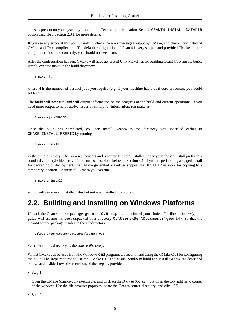datasets present on your system, you can point Geant4 to their location. See the GEANT4\_INSTALL\_DATADIR option described [Section 2.3.1](#page-11-0) for more details.

If you see any errors at this point, carefully check the error messages output by CMake, and check your install of CMake and C++ compiler first. The default configuration of Geant4 is very simple, and provided CMake and the compiler are installed correctly, you should not see errors.

After the configuration has run, CMake will have generated Unix Makefiles for building Geant4. To run the build, simply execute make in the build directory:

\$ make -jN

where N is the number of parallel jobs you require (e.g. if your machine has a dual core processor, you could set N to 2).

The build will now run, and will output information on the progress of the build and current operations. If you need more output to help resolve issues or simply for information, run make as

\$ make -jN VERBOSE=1

Once the build has completed, you can install Geant4 to the directory you specified earlier in CMAKE\_INSTALL\_PREFIX by running

\$ make install

in the build directory. The libraries, headers and resource files are installed under your chosen install prefix in a standard Unix-style hierarchy of directories, described below in [Section 3.1.](#page-18-1) If you are performing a staged install for packaging or deployment, the CMake generated Makefiles support the DESTDIR variable for copying to a temporary location. To uninstall Geant4 you can run

\$ make uninstall

which will remove all installed files but not any installed directories.

### <span id="page-8-0"></span>**2.2. Building and Installing on Windows Platforms**

Unpack the Geant4 source package, geant4.9.6.zip to a location of your choice. For illustration *only*, this guide will assume it's been unpacked in a directory  $C:\Upsilon\Bbb B\longrightarrow Documents\qquad$ , so that the Geant4 source package resides in the subdirectory

C:\Users\Ben\Documents\geant4\geant4.9.6

We refer to this directory as the *source directory*.

Whilst CMake can be used from the Windows cmd program, we recommend using the CMake GUI for configuring the build. The steps required to use the CMake GUI and Visual Studio to build and install Geant4 are described below, and a [slideshow of screenshots](http://www2.warwick.ac.uk/fac/sci/physics/staff/research/bmorgan/geant4/installingonwindows) of the steps is provided.

• [Step 1:](http://www2.warwick.ac.uk/fac/sci/physics/staff/research/bmorgan/geant4/installingonwindows/step_01_select_source.png)

Open the CMake (cmake-gui) executable, and click on the *Browse Source...* button in the top right hand corner of the window. Use the file browser popup to locate the Geant4 source directory, and click *OK*.

• [Step 2:](http://www2.warwick.ac.uk/fac/sci/physics/staff/research/bmorgan/geant4/installingonwindows/step_02_create_builddir.png)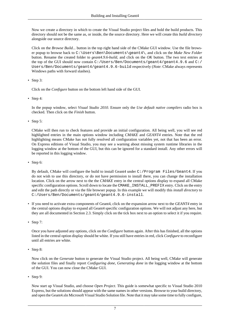Now we create a directory in which to create the Visual Studio project files and hold the build products. This directory should not be the same as, or inside, the the source directory. Here we will create this *build directory* alongside our source directory.

Click on the *Browse Build...* button in the top right hand side of the CMake GUI window. Use the file browser popup to browse back to C:\Users\Ben\Documents\geant4\, and click on the *Make New Folder* button. Rename the created folder to *geant4.9.6-build*, and click on the *OK* button. The two text entries at the top of the GUI should now contain C:/Users/Ben/Documents/geant4/geant4.9.6 and C:/ Users/Ben/Documents/geant4/geant4.9.6-build respectively (*Note*: CMake always represents Windows paths with forward slashes).

• [Step 3:](http://www2.warwick.ac.uk/fac/sci/physics/staff/research/bmorgan/geant4/installingonwindows/step_03_first_configure.png)

Click on the *Configure* button on the bottom left hand side of the GUI.

• [Step 4:](http://www2.warwick.ac.uk/fac/sci/physics/staff/research/bmorgan/geant4/installingonwindows/step_04_select_generator.png)

In the popup window, select *Visual Studio 2010*. Ensure only the *Use default native compilers* radio box is checked. Then click on the *Finish* button.

• [Step 5:](http://www2.warwick.ac.uk/fac/sci/physics/staff/research/bmorgan/geant4/installingonwindows/step_05_post_configure.png)

CMake will then run to check features and provide an initial configuration. All being well, you will see red highlighted entries in the main options window including *CMAKE* and *GEANT4* entries. Note that the red highlighting means CMake has not fully resolved all configuration variables yet, not that has been an error. On Express editions of Visual Studio, you may see a warning about missing system runtime libraries in the logging window at the bottom of the GUI, but this can be ignored for a standard install. Any other errors will be reported in this logging window.

• [Step 6:](http://www2.warwick.ac.uk/fac/sci/physics/staff/research/bmorgan/geant4/installingonwindows/step_06_modify_install_prefix.png)

By default, CMake will configure the build to install Geant4 under C:/Program Files/Geant4. If you do not wish to use this directory, or do not have permission to install there, you can change the installation location. Click on the arrow next to the the *CMAKE* entry in the central options display to expand all CMake specific configuration options. Scroll down to locate the CMAKE\_INSTALL\_PREFIX entry. Click on the entry and edit the path directly or via the file browser popup. In this example we will modify this *install directory* to C:/Users/Ben/Documents/geant4/geant4.9.6-install.

- If you need to activate extra components of Geant4, click on the expansion arrow next to the *GEANT4* entry in the central options display to expand all Geant4 specific configuration options. We will not adjust any here, but they are all documented in [Section 2.3.](#page-10-0) Simply click on the tick box next to an option to select it if you require.
- [Step 7:](http://www2.warwick.ac.uk/fac/sci/physics/staff/research/bmorgan/geant4/installingonwindows/step_07_resolved_configure.png)

Once you have adjusted any options, click on the *Configure* button again. After this has finished, all the options listed in the central option display should be white. If you still have entries in red, click *Configure* to reconfigure until all entries are white.

• [Step 8:](http://www2.warwick.ac.uk/fac/sci/physics/staff/research/bmorgan/geant4/installingonwindows/step_08_post_generate.png)

Now click on the *Generate* button to generate the Visual Studio project. All being well, CMake will generate the solution files and finally report *Configuring done, Generating done* in the logging window at the bottom of the GUI. You can now close the CMake GUI.

• [Step 9:](http://www2.warwick.ac.uk/fac/sci/physics/staff/research/bmorgan/geant4/installingonwindows/step_09_open_vs_project.png)

Now start up Visual Studio, and choose *Open Project*. This guide is somewhat specific to Visual Studio 2010 Express, but the solutions should appear with the same names in other versions. Browse to your build directory, and open the Geant4.sln Microsoft Visual Studio Solution file. Note that it may take some time to fully configure,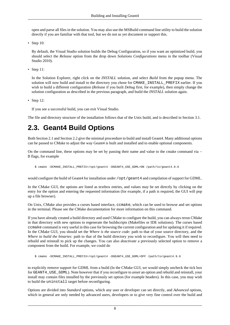open and parse all files in the solution. You may also use the MSBuild command line utility to build the solution directly if you are familiar with that tool, but we do not as yet document or support this.

• [Step 10:](http://www2.warwick.ac.uk/fac/sci/physics/staff/research/bmorgan/geant4/installingonwindows/step_10_set_build_configuration.png)

By default, the Visual Studio solution builds the Debug Configuration, so if you want an optimized build, you should select the *Release* option from the drop down *Solutions Configurations* menu in the toolbar (Visual Studio 2010).

• [Step 11:](http://www2.warwick.ac.uk/fac/sci/physics/staff/research/bmorgan/geant4/installingonwindows/step_11_start_install_build.png)

In the Solution Explorer, right click on the *INSTALL* solution, and select *Build* from the popup menu. The solution will now build and install to the directory you chose for CMAKE\_INSTALL\_PREFIX earlier. If you wish to build a different configuration (*Release* if you built *Debug* first, for example), then simply change the solution configuration as described in the previous paragraph, and build the *INSTALL* solution again.

• [Step 12:](http://www2.warwick.ac.uk/fac/sci/physics/staff/research/bmorgan/geant4/installingonwindows/step_12_final_visual_studio.png)

If you see a successful build, you can exit Visual Studio.

The file and directory structure of the installation follows that of the Unix build, and is described in [Section 3.1](#page-18-1).

## <span id="page-10-0"></span>**2.3. Geant4 Build Options**

Both [Section 2.1](#page-6-1) and [Section 2.2](#page-8-0) give the minimal proceedure to build and install Geant4. Many additional options can be passed to CMake to adjust the way Geant4 is built and installed and to enable optional components.

On the command line, these options may be set by passing their name and value to the cmake command via - D flags, for example

\$ cmake -DCMAKE\_INSTALL\_PREFIX=/opt/geant4 -DGEANT4\_USE\_GDML=ON /path/to/geant4.9.6

would configure the build of Geant4 for installation under /opt/geant4 and compilation of support for GDML.

In the CMake GUI, the options are listed as textbox entries, and values may be set directly by clicking on the entry for the option and entering the requested information (for example, if a path is required, the GUI will pop up a file browser).

On Unix, CMake also provides a curses based interface, ccmake, which can be used to browse and set options in the terminal. Please see the CMake documentation for more information on this command.

If you have already created a build directory and used CMake to configure the build, you can always rerun CMake in that directory with new options to regenerate the buildscripts (Makefiles or IDE solutions). The curses based ccmake command is very useful in this case for browsing the current configuration and for updating it if required. In the CMake GUI, you should set the *Where is the source code:* path to that of your source directory, and the *Where to build the binaries:* path to that of the build directory you wish to reconfigure. You will then need to rebuild and reinstall to pick up the changes. You can also *deactivate* a previously selected option to remove a component from the build. For example, we could do

\$ cmake -DCMAKE\_INSTALL\_PREFIX=/opt/geant4 -DGEANT4\_USE\_GDML=OFF /path/to/geant4.9.6

to explicitly remove support for GDML from a build (In the CMake GUI, we would simply uncheck the tick box for GEANT4\_USE\_GDML). Note however that if you reconfigure to *unset* an option and rebuild and reinstall, your install may contain files installed by the previously set option (for example headers). In this case, you may wish to build the uninstall target before reconfiguring.

Options are divided into *Standard* options, which any user or developer can set directly, and *Advanced* options, which in general are only needed by advanced users, developers or to give very fine control over the build and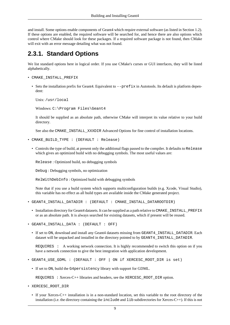and install. Some options enable components of Geant4 which require external software (as listed in [Section 1.2](#page-3-2)). If these options are enabled, the required software will be searched for, and hence there are also options which control where CMake should look for these packages. If a required software package is not found, then CMake will exit with an error message detailing what was not found.

#### <span id="page-11-0"></span>**2.3.1. Standard Options**

We list standard options here in logical order. If you use CMake's curses or GUI interfaces, they will be listed alphabetically.

- CMAKE\_INSTALL\_PREFIX
	- Sets the installation prefix for Geant4. Equivalent to  $-\text{prefix}$  in Autotools. Its default is platform dependent:

Unix: /usr/local

Windows: C:\Program Files\Geant4

It should be supplied as an absolute path, otherwise CMake will interpret its value relative to your build directory.

See also the CMAKE\_INSTALL\_XXXDIR Advanced Options for fine control of installation locations.

- CMAKE\_BUILD\_TYPE : (DEFAULT : Release)
	- Controls the type of build, at present only the additional flags passed to the compiler. It defaults to Release which gives an optimized build with no debugging symbols. The most useful values are:

Release : Optimized build, no debugging symbols

Debug : Debugging symbols, no optimization

RelWithDebInfo : Optimized build with debugging symbols

Note that if you use a build system which supports multiconfiguration builds (e.g. Xcode, Visual Studio), this variable has no effect as all build types are available inside the CMake generated project.

- GEANT4\_INSTALL\_DATADIR : (DEFAULT : CMAKE\_INSTALL\_DATAROOTDIR)
	- Installation directory for Geant4 datasets. It can be supplied as a path relative to CMAKE\_INSTALL\_PREFIX or as an absolute path. It is always searched for existing datasets, which if present will be reused.
- GEANT4\_INSTALL\_DATA : (DEFAULT : OFF)
	- If set to ON, download and install any Geant4 datasets missing from GEANT4\_INSTALL\_DATADIR. Each dataset will be unpacked and installed in the directory pointed to by GEANT4\_INSTALL\_DATADIR.

REQUIRES : A working network connection. It is highly recommended to switch this option on if you have a network connection to give the best integration with application development.

- GEANT4\_USE\_GDML : (DEFAULT : OFF | ON if XERCESC\_ROOT\_DIR is set)
	- If set to ON, build the G4persistency library with support for GDML.

REQUIRES : Xerces-C++ libraries and headers, see the XERCESC\_ROOT\_DIR option.

- XERCESC\_ROOT\_DIR
	- If your Xerces-C++ installation is in a non-standard location, set this variable to the root directory of the installation (i.e. the directory containing the include and lib subdirectories for Xerces-C++). If this is not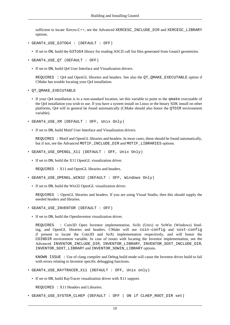sufficient to locate Xerces-C++, see the Advanced XERCESC\_INCLUDE\_DIR and XERCESC\_LIBRARY options.

- GEANT4\_USE\_G3TOG4 : (DEFAULT : OFF)
	- If set to ON, build the G3ToG4 library for reading ASCII call list files generated from Geant3 geometries.
- GEANT4\_USE\_QT (DEFAULT : OFF)
	- If set to ON, build Qt4 User Interface and Visualization drivers.

REQUIRES : Qt4 and OpenGL libraries and headers. See also the QT\_QMAKE\_EXECUTABLE option if CMake has trouble locating your Qt4 installation.

- QT\_QMAKE\_EXECUTABLE
	- If your Qt4 installation is in a non-standard location, set this variable to point to the qmake executable of the Qt4 installation you wish to use. If you have a system install on Linux or the binary SDK install on other platforms, Qt4 will in general be found automatically (CMake should also honor the QTDIR environment variable).
- GEANT4\_USE\_XM (DEFAULT : OFF, Unix Only)
	- If set to ON, build Motif User Interface and Visualization drivers.

REQUIRES : Motif and OpenGL libraries and headers. In most cases, these should be found automatically, but if not, see the Advanced MOTIF\_INCLUDE\_DIR and MOTIF\_LIBRARIES options.

- GEANT4\_USE\_OPENGL\_X11 (DEFAULT : OFF, Unix Only)
	- If set to ON, build the X11 OpenGL visualization driver.

REQUIRES : X11 and OpenGL libraries and headers.

- GEANT4\_USE\_OPENGL\_WIN32 (DEFAULT : OFF, Windows Only)
	- If set to ON, build the Win32 OpenGL visualization driver.

REQUIRES : OpenGL libraries and headers. If you are using Visual Studio, then this should supply the needed headers and libraries.

- GEANT4\_USE\_INVENTOR (DEFAULT : OFF)
	- If set to ON, build the OpenInventor visualization driver.

REQUIRES : Coin3D Open Inventor implementation, SoXt (Unix) or SoWin (Windows) binding, and OpenGL libraries and headers. CMake will use coin-config and soxt-config if present to locate the Coin3D and SoXt implementation respectively, and will honor the COINDIR environment variable. In case of issues with locating the Inventor implementation, see the Advanced INVENTOR\_INCLUDE\_DIR, INVENTOR\_LIBRARY, INVENTOR\_SOXT\_INCLUDE\_DIR, INVENTOR\_SOXT\_LIBRARY and INVENTOR\_SOWIN\_LIBRARY options.

KNOWN ISSUE : Use of clang compiler and Debug build mode will cause the Inventor driver build to fail with errors relating to Inventor specific debugging functions.

- GEANT4 USE RAYTRACER X11 (DEFAULT : OFF, Unix only)
	- If set to ON, build RayTracer visualization driver with X11 support.

REQUIRES : X11 Headers and Libraries.

• GEANT4 USE SYSTEM CLHEP (DEFAULT : OFF | ON if CLHEP ROOT DIR set)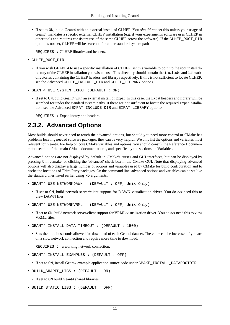• If set to ON, build Geant4 with an external install of CLHEP. You *should not* set this unless your usage of Geant4 mandates a specific external CLHEP installation (e.g. if your experiment's software uses CLHEP in other tools and requires consistent use of the same CLHEP across the software). If the CLHEP\_ROOT\_DIR option is not set, CLHEP will be searched for under standard system paths.

REQUIRES : CLHEP libraries and headers.

- CLHEP\_ROOT\_DIR
	- If you wish GEANT4 to use a specific installation of CLHEP, set this variable to point to the root install directory of the CLHEP installation you wish to use. This directory should contain the include and lib subdirectories containing the CLHEP headers and library respectively. If this is not sufficient to locate CLHEP, see the Advanced CLHEP\_INCLUDE\_DIR and CLHEP\_LIBRARY options.
- GEANT4\_USE\_SYSTEM\_EXPAT (DEFAULT : ON)
	- If set to ON, build Geant4 with an external install of Expat. In this case, the Expat headers and library will be searched for under the standard system paths. If these are not sufficient to locate the required Expat installation, see the Advanced EXPAT\_INCLUDE\_DIR and EXPAT\_LIBRARY options/

REQUIRES : Expat library and headers.

#### <span id="page-13-0"></span>**2.3.2. Advanced Options**

Most builds should never need to touch the advanced options, but should you need more control or CMake has problems locating needed software packages, they can be very helpful. We only list the options and variables most relevent for Geant4. For help on core CMake variables and options, you should consult the Reference Documentation section of the [main CMake documentation](http://cmake.org/cmake/help/documentation.html) , and specifically the sections on Variables.

Advanced options are not displayed by default in CMake's curses and GUI interfaces, but can be displayed by pressing t in ccmake, or clicking the 'advanced' check box in the CMake GUI. Note that displaying advanced options will also display a large number of options and variables used by CMake for build configuration and to cache the locations of Third Party packages. On the command line, advanced options and variables can be set like the standard ones listed earlier using -D arguments.

- GEANT4\_USE\_NETWORKDAWN : (DEFAULT : OFF, Unix Only)
	- If set to ON, build network server/client support for DAWN visualization driver. You do *not* need this to view DAWN files.
- GEANT4\_USE\_NETWORKVRML : (DEFAULT : OFF, Unix Only)
	- If set to ON, build network server/client support for VRML visualization driver. You do *not* need this to view VRML files.
- GEANT4\_INSTALL\_DATA\_TIMEOUT : (DEFAULT : 1500)
	- Sets the time in seconds allowed for download of each Geant4 dataset. The value can be increased if you are on a slow network connection and require more time to download.

REQUIRES : a working network connection.

- GEANT4\_INSTALL\_EXAMPLES : (DEFAULT : OFF)
	- If set to ON, install Geant4 example application source code under CMAKE\_INSTALL\_DATAROOTDIR.
- BUILD SHARED LIBS : (DEFAULT : ON)
	- If set to ON build Geant4 shared libraries.
- BUILD STATIC\_LIBS : (DEFAULT : OFF)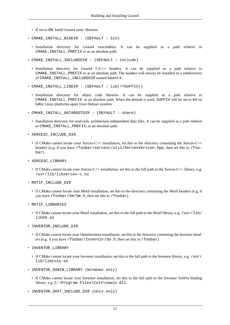- If set to ON, build Geant4 static libraries.
- CMAKE\_INSTALL\_BINDIR : (DEFAULT : bin)
	- Installation directory for Geant4 executables. It can be supplied as a path relative to CMAKE\_INSTALL\_PREFIX or as an absolute path.
- CMAKE\_INSTALL\_INCLUDEDIR : (DEFAULT : include)
	- Installation directory for Geant4 C/C++ headers. It can be supplied as a path relative to CMAKE\_INSTALL\_PREFIX or as an absolute path. The headers will always be installed in a subdirectory of CMAKE\_INSTALL\_INCLUDEDIR named Geant4.
- CMAKE\_INSTALL\_LIBDIR : (DEFAULT : lib(+?SUFFIX))
	- Installation directory for object code libraries. It can be supplied as a path relative to CMAKE\_INSTALL\_PREFIX, or an absolute path. When the default is used, SUFFIX will be set to 64 on 64bit Linux platforms apart from Debian systems.
- CMAKE\_INSTALL\_DATAROOTDIR : (DEFAULT : share)
	- Installation directory for read-only architecture-independent data files. It can be supplied as a path relative to CMAKE\_INSTALL\_PREFIX, or an absolute path.
- XERCESC\_INCLUDE\_DIR
	- If CMake cannot locate your Xerces-C++ installation, set this to the directory containing the Xerces-C++ headers (e.g. if you have /foobar/xercesc/util/XercesVersion.hpp, then set this to /foobar).
- XERCESC\_LIBRARY
	- If CMake cannot locate your Xerces-C++ installation, set this to the full path to the Xerces-C++ library, e.g. /usr/lib/libxerces-c.so
- MOTIF\_INCLUDE\_DIR
	- If CMake cannot locate your Motif installation, set this to the directory containing the Motif headers (e.g. if you have /foobar/Xm/Xm.h, then set this to /foobar).
- MOTIF\_LIBRARIES
	- If CMake cannot locate your Motif installation, set this to the full path to the Motif library, e.g. /usr/lib/ libXm.so
- INVENTOR\_INCLUDE\_DIR
	- If CMake cannot locate your OpenInventor installation, set this to the directory containing the Inventor headers (e.g. if you have /foobar/Inventor/So.h, then set this to /foobar).
- INVENTOR\_LIBRARY
	- If CMake cannot locate your Inventor installation, set this to the full path to the Inventor library, e.g. /usr/ lib/libCoin.so
- INVENTOR SOWIN LIBRARY (Windows only)
	- If CMake cannot locate your Inventor installation, set this to the full path to the Inventor SoWin binding library, e.g. C:\Program Files\Coin\sowin.dll.
- INVENTOR\_SOXT\_INCLUDE\_DIR (Unix only)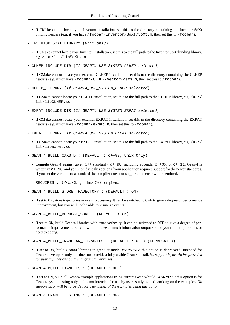- If CMake cannot locate your Inventor installation, set this to the directory containing the Inventor SoXt binding headers (e.g. if you have /foobar/Inventor/SoXt/SoXt.h, then set this to /foobar).
- INVENTOR\_SOXT\_LIBRARY (Unix only)
	- If CMake cannot locate your Inventor installation, set this to the full path to the Inventor SoXt binding library, e.g. /usr/lib/libSoXt.so.
- CLHEP INCLUDE DIR (If GEANT4 USE SYSTEM CLHEP selected)
	- If CMake cannot locate your external CLHEP installation, set this to the directory containing the CLHEP headers (e.g. if you have /foobar/CLHEP/Vector/defs.h, then set this to /foobar).
- CLHEP\_LIBRARY (If GEANT4\_USE\_SYSTEM\_CLHEP selected)
	- If CMake cannot locate your CLHEP installation, set this to the full path to the CLHEP library, e.g. /usr/ lib/libCLHEP.so
- EXPAT\_INCLUDE\_DIR (If GEANT4\_USE\_SYSTEM\_EXPAT selected)
	- If CMake cannot locate your external EXPAT installation, set this to the directory containing the EXPAT headers (e.g. if you have /foobar/expat.h, then set this to /foobar).
- EXPAT LIBRARY (If GEANT4 USE SYSTEM EXPAT selected)
	- If CMake cannot locate your EXPAT installation, set this to the full path to the EXPAT library, e.g. /usr/ lib/libexpat.so
- GEANT4\_BUILD\_CXXSTD : (DEFAULT : c++98, Unix Only)
	- Compile Geant4 against given C++ standard ( $c++98$ , including addenda,  $c++0x$ , or  $c++11$ . Geant4 is written in  $c++98$ , and you should use this option if your application requires support for the newer standards. If you set the variable to a standard the compiler does not support, and error will be emitted.

REQUIRES : GNU, Clang or Intel C++ compilers.

- GEANT4\_BUILD\_STORE\_TRAJECTORY : (DEFAULT : ON)
	- If set to ON, store trajectories in event processing. It can be switched to OFF to give a degree of performance improvement, but you will *not* be able to visualize events.
- GEANT4\_BUILD\_VERBOSE\_CODE : (DEFAULT : ON)
	- If set to ON, build Geant4 libraries with extra verbosity. It can be switched to OFF to give a degree of performance improvement, but you will not have as much information output should you run into problems or need to debug.
- GEANT4\_BUILD\_GRANULAR\_LIBRARIES : (DEFAULT : OFF) (DEPRECATED)
	- If set to ON, build Geant4 libraries in granular mode. *WARNING:* this option is deprecated, intended for Geant4 developers only and does not provide a fully usable Geant4 install. *No support is, or will be, provided for user applications built with granular libraries*.
- GEANT4\_BUILD\_EXAMPLES : (DEFAULT : OFF)
	- If set to ON, build all Geant4 example applications using current Geant4 build. *WARNING:* this option is for Geant4 system testing only and is not intended for use by users studying and working on the examples. *No support is, or will be, provided for user builds of the examples using this option*.
- GEANT4\_ENABLE\_TESTING : (DEFAULT : OFF)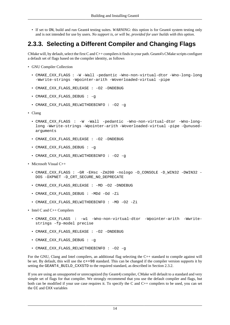• If set to ON, build and run Geant4 testing suites. *WARNING*: this option is for Geant4 system testing only and is not intended for use by users. *No support is, or will be, provided for user builds with this option*.

### <span id="page-16-0"></span>**2.3.3. Selecting a Different Compiler and Changing Flags**

CMake will, by default, select the first C and  $C_{++}$  compilers it finds in your path. Geant4's CMake scripts configure a default set of flags based on the compiler identity, as follows

- [GNU Compiler Collection](http://gcc.gnu.org/)
	- CMAKE\_CXX\_FLAGS : -W -Wall -pedantic -Wno-non-virtual-dtor -Wno-long-long -Wwrite-strings -Wpointer-arith -Woverloaded-virtual -pipe
	- CMAKE\_CXX\_FLAGS\_RELEASE : -O2 -DNDEBUG
	- CMAKE\_CXX\_FLAGS\_DEBUG : -g
	- CMAKE\_CXX\_FLAGS\_RELWITHDEBINFO : -O2 -g
- [Clang](http://clang.llvm.org/)
	- CMAKE\_CXX\_FLAGS : -W -Wall -pedantic -Wno-non-virtual-dtor -Wno-longlong -Wwrite-strings -Wpointer-arith -Woverloaded-virtual -pipe -Qunusedarguments
	- CMAKE\_CXX\_FLAGS\_RELEASE : -O2 -DNDEBUG
	- CMAKE\_CXX\_FLAGS\_DEBUG : -g
	- CMAKE CXX FLAGS RELWITHDEBINFO : 02 q
- [Microsoft Visual C++](http://msdn.microsoft.com/en-gb/vstudio/hh386302)
	- CMAKE\_CXX\_FLAGS : -GR -EHsc -Zm200 -nologo -D\_CONSOLE -D\_WIN32 -DWIN32 DOS -DXPNET -D\_CRT\_SECURE\_NO\_DEPRECATE
	- CMAKE CXX FLAGS RELEASE : MD -O2 -DNDEBUG
	- CMAKE\_CXX\_FLAGS\_DEBUG : -MDd -Od -Zi
	- CMAKE\_CXX\_FLAGS\_RELWITHDEBINFO : -MD -O2 -Zi
- [Intel C and C++ Compilers](http://software.intel.com/en-us/c-compilers)
	- CMAKE\_CXX\_FLAGS : -w1 -Wno-non-virtual-dtor -Wpointer-arith -Wwritestrings -fp-model precise
	- CMAKE CXX FLAGS RELEASE : O2 -DNDEBUG
	- CMAKE\_CXX\_FLAGS\_DEBUG : -g
	- CMAKE CXX FLAGS RELWITHDEBINFO : 02 q

For the GNU, Clang and Intel compilers, an additional flag selecting the C++ standard to compile against will be set. By default, this will use the c++98 standard. This can be changed if the compiler version supports it by setting the GEANT4\_BUILD\_CXXSTD to the required standard, as described in [Section 2.3.2.](#page-13-0)

If you are using an unsupported or unrecognized (by Geant4) compiler, CMake will default to a standard and very simple set of flags for that compiler. We strongly recommend that you use the default compiler and flags, but both can be modified if your use case requires it. To specify the C and C++ compilers to be used, you can set the CC and CXX variables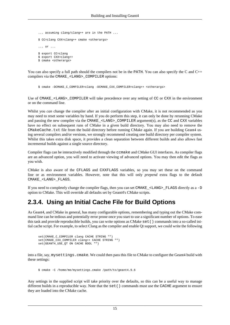```
 ... assuming clang/clang++ are in the PATH ...
 $ CC=clang CXX=clang++ cmake <otherargs>
 ... or ...
 $ export CC=clang
 $ export CXX=clang++
 $ cmake <otherargs>
```
You can also specify a full path should the compilers not be in the PATH. You can also specify the C and C++ compilers via the CMAKE\_<LANG>\_COMPILER options:

\$ cmake -DCMAKE\_C\_COMPILER=clang -DCMAKE\_CXX\_COMPILER=clang++ <otherargs>

Use of CMAKE\_<LANG>\_COMPILER will take precedence over any setting of CC or CXX in the environment or on the command line.

Whilst you *can* change the compiler after an initial configuration with CMake, it is not recommended as you may need to reset some variables by hand. If you do perform this step, it can only be done by rerunning CMake and passing the new compiler via the CMAKE  $\leq$ LANG> COMPILER argument(s), as the CC and CXX variables have no effect on subsequent runs of CMake in a given build directory. You may also need to remove the CMakeCache.txt file from the build directory before running CMake again. If you are building Geant4 using several compilers and/or versions, we strongly recommend creating one build directory per compiler system. Whilst this takes extra disk space, it provides a clean separation between different builds and also allows fast incremental builds against a single source directory.

Compiler flags can be interactively modified through the ccmake and CMake GUI interfaces. As compiler flags are an advanced option, you will need to activate viewing of advanced options. You may then edit the flags as you wish.

CMake is also aware of the CFLAGS and CXXFLAGS variables, so you may set these on the command line or as environment variables. However, note that this will only *prepend* extra flags to the default CMAKE\_<LANG>\_FLAGS.

If you need to completely change the compiler flags, then you can set CMAKE\_<LANG>\_FLAGS directly as a -D option to CMake. This will override all defaults set by Geant4's CMake scripts.

#### <span id="page-17-0"></span>**2.3.4. Using an Initial Cache File for Build Options**

As Geant4, and CMake in general, has many configurable options, remembering and typing out the CMake command line can be tedious and potentially error prone once you start to use a significant number of options. To ease this task and provide reproducible builds, you can write options as CMake set() commands into a so-called initial cache script. For example, to select Clang as the compiler and enable Qt support, we could write the following

 set(CMAKE\_C\_COMPILER clang CACHE STRING "") set(CMAKE\_CXX\_COMPILER clang++ CACHE STRING "") set(GEANT4 USE OT ON CACHE BOOL "")

into a file, say, mysettings.cmake. We could then pass this file to CMake to configure the Geant4 build with these settings:

\$ cmake -C /home/me/mysettings.cmake /path/to/geant4.9.6

Any settings in the supplied script will take priority over the defaults, so this can be a useful way to manage different builds in a reproducible way. Note that the set() commands must use the CACHE argument to ensure they are loaded into the CMake cache.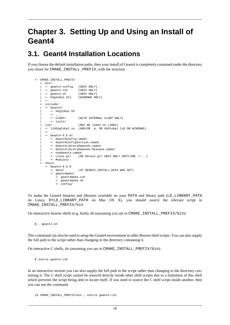# <span id="page-18-0"></span>**Chapter 3. Setting Up and Using an Install of Geant4**

#### <span id="page-18-1"></span>**3.1. Geant4 Installation Locations**

If you choose the default installation paths, then your install of Geant4 is completely contained under the directory you chose for CMAKE\_INSTALL\_PREFIX, with the structure

```
 +- CMAKE_INSTALL_PREFIX
        +- bin/
 | +- geant4-config (UNIX ONLY)
 | +- geant4.csh (UNIX ONLY)
 | +- geant4.sh (UNIX ONLY)
 | +- G4global.dll (WINDOWS ONLY)
         +- \cdot . ..<br>+- include/
         +- Geant4/
             | +- G4global.hh
            +- \ldots<br>+- \text{CLHEP} /(WITH INTERNAL CLHEP ONLY)
       | +- tools/<br>+- lib/
                             (MAY \tBF \t1ib64 \ton \tLINK) | +- libG4global.so (AND/OR .a, OR G4Global.lib ON WINDOWS)
          +- ...
           | +- Geant4-9.6.0/
              | +- Geant4Config.cmake
             | +- Geant4ConfigVersion.cmake
             | +- Geant4LibraryDepends.cmake
             | +- Geant4LibraryDepends-Release.cmake
              | +- UseGeant4.cmake
             | +- Linux-g++ (OR Darwin-g++ UNIX ONLY SOFTLINK -> ..)
             | +- Modules/
       +- share
           +- Geant4-9.6.0
              +- data/ (IF GEANT4_INSTALL_DATA WAS SET)
              +- geant4make/
                 +- geant4make.csh
                 +- geant4make.sh
                 +- config/
```
To make the Geant4 binaries and libraries available on your PATH and library path (LD\_LIBRARY\_PATH on Linux, DYLD\_LIBRARY\_PATH on Mac OS X), you should source the relevant script in CMAKE\_INSTALL\_PREFIX/bin

On interactive bourne shells (e.g. bash), do (assuming you are in CMAKE\_INSTALL\_PREFIX/bin):

\$ . geant4.sh

This command can also be used to setup the Geant4 environment in other Bourne shell scripts. You can also supply the full path to the script rather than changing to the directory containing it.

On interactive C shells, do (assuming you are in CMAKE\_INSTALL\_PREFIX/bin):

\$ source geant4.csh

In an interactive session you can also supply the full path to the script rather than changing to the directory containing it. The C shell script cannot be sourced directly inside other shell scripts due to a limitation of this shell which prevents the script being able to locate itself. If you need to source the C shell script inside another, then you can use the command

cd CMAKE\_INSTALL\_PREFIX/bin ; source geant4.csh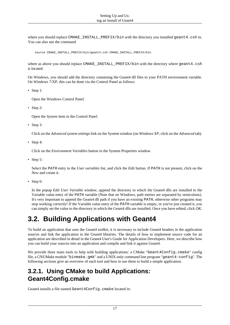where you should replace CMAKE\_INSTALL\_PREFIX/bin with the directory you installed geant4.csh in. You can also use the command

source CMAKE\_INSTALL\_PREFIX/bin/geant4.csh CMAKE\_INSTALL\_PREFIX/bin

where as above you should replace CMAKE\_INSTALL\_PREFIX/bin with the directory where geant4.csh is located.

On Windows, you should add the directory containing the Geant4 dll files to your PATH environment variable. On Windows 7/XP, this can be done via the Control Panel as follows

• [Step 1:](http://www2.warwick.ac.uk/fac/sci/physics/staff/research/bmorgan/geant4/installingonwindows/step_14_open_control_panel.png)

Open the Windows Control Panel.

• [Step 2:](http://www2.warwick.ac.uk/fac/sci/physics/staff/research/bmorgan/geant4/installingonwindows/step_15_open_system_settings.png)

Open the *System* item in the Control Panel.

• [Step 3:](http://www2.warwick.ac.uk/fac/sci/physics/staff/research/bmorgan/geant4/installingonwindows/step_16_open_advanced_system_settings_raw.png)

Click on the *Advanced system settings* link on the System window (on *Windows XP*, click on the *Advanced* tab).

• [Step 4:](http://www2.warwick.ac.uk/fac/sci/physics/staff/research/bmorgan/geant4/installingonwindows/step_17_click_on_environment_variables.png)

Click on the *Environment Variables* button in the System Properties window.

• [Step 5:](http://www2.warwick.ac.uk/fac/sci/physics/staff/research/bmorgan/geant4/installingonwindows/step_18_selct_path_and_click_edit.png)

Select the PATH entry in the *User variables* list, and click the *Edit* button. If PATH is not present, click on the *New* and create it.

• [Step 6:](http://www2.warwick.ac.uk/fac/sci/physics/staff/research/bmorgan/geant4/installingonwindows/step_19_enter_path_value_and_click_ok.png)

In the popup *Edit User Variable* window, append the directory in which the Geant4 dlls are installed to the Variable value entry of the PATH variable (Note that on Windows, path entries are separated by semicolons). It's very important to append the Geant4 dll path if you have an existing PATH, otherwise other programs may stop working correctly! If the Variable value entry of the PATH variable is empty, or you've just created it, you can simply set the value to the directory in which the Geant4 dlls are installed. Once you have edited, click *OK*.

## <span id="page-19-0"></span>**3.2. Building Applications with Geant4**

To build an application that uses the Geant4 toolkit, it is necessary to include Geant4 headers in the application sources and link the application to the Geant4 libraries. The details of how to implement source code for an application are described in detail in the [Geant4 User's Guide for Application Developers](http://geant4.web.cern.ch/geant4/UserDocumentation/UsersGuides/ForApplicationDeveloper/html/index.html). Here, we describe how you can build your sources into an application and compile and link it against Geant4.

We provide three main tools to help with building applications: a CMake "Geant4Config.cmake" config file, a GNUMake module "binmake.gmk" and a UNIX-only command line program "geant4-config". The following sections give an overview of each tool and how to use them to build a simple application.

#### <span id="page-19-1"></span>**3.2.1. Using CMake to build Applications: Geant4Config.cmake**

Geant4 installs a file named Geant4Config.cmake located in: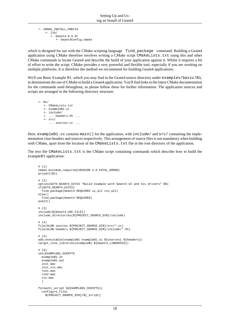```
 +- CMAKE_INSTALL_PREFIX
    +- lib/
        +- Geant4-9.6.0/
           +- Geant4Config.cmake
```
which is designed for use with the CMake scripting language find package command. Building a Geant4 application using CMake therefore involves writing a CMake script CMakeLists.txt using this and other CMake commands to locate Geant4 and describe the build of your application against it. Whilst it requires a bit of effort to write the script, CMake provides a very powerful and flexible tool, especially if you are working on multiple platforms. It is therefore the method we recommend for building Geant4 applications.

We'll use Basic Example B1, which you may find in the Geant4 source directory under examples/basic/B1, to demonstrate the use of CMake to build a Geant4 application. You'll find links to the latest CMake documentation for the commands used throughout, so please follow these for further information. The application sources and scripts are arranged in the following directory structure:

```
+- B1/
    +- CMakeLists.txt
    +- exampleB1.cc
    +- include/
    | ... headers.hh ...
   +- src/
       ... sources.cc ...
```
Here, exampleB1.cc contains main() for the application, with include/ and src/ containing the implementation class headers and sources respectively. This arrangement of source files is not mandatory when building with CMake, apart from the location of the CMakeLists.txt file in the root directory of the application.

The text file CMakeLists.txt is the CMake script containing commands which describe how to build the exampleB1 application:

```
 # (1)
      cmake_minimum_required(VERSION 2.6 FATAL_ERROR)
      project(B1)
      # (2) option(WITH_GEANT4_UIVIS "Build example with Geant4 UI and Vis drivers" ON)
      if(WITH_GEANT4_UIVIS)
         find_package(Geant4 REQUIRED ui_all vis_all)
       else()
         find_package(Geant4 REQUIRED)
       endif()
       # (3)
       include(${Geant4_USE_FILE})
       include_directories(${PROJECT_SOURCE_DIR}/include)
      # (4) file(GLOB sources ${PROJECT_SOURCE_DIR}/src/*.cc)
       file(GLOB headers ${PROJECT_SOURCE_DIR}/include/*.hh)
       # (5)
     add executable(exampleB1 exampleB1.cc ${sources} ${headers})
      target_link_libraries(exampleB1 ${Geant4_LIBRARIES})
       # (6)
       set(EXAMPLEB1_SCRIPTS
        exampleB1.in
         exampleB1.out
         init.mac
         init_vis.mac
         run1.mac
        run2.mac
         vis.mac
 )
       foreach(_script ${EXAMPLEB1_SCRIPTS})
         configure_file(
           ${PROJECT_SOURCE_DIR}/${_script}
```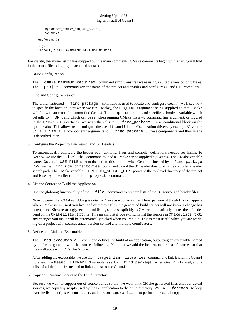```
 ${PROJECT_BINARY_DIR}/${_script}
         COPYONLY
 )
      endforeach()
      # (7)
      install(TARGETS exampleB1 DESTINATION bin)
```
For clarity, the above listing has stripped out the main comments (CMake comments begin with a "#") you'll find in the actual file to highlight each distinct task:

1. Basic Configuration

The [cmake\\_minimum\\_required](http://www.cmake.org/cmake/help/v2.8.10/cmake.html#command:cmake_minimum_required) command simply ensures we're using a suitable version of CMake. The [project](http://www.cmake.org/cmake/help/v2.8.10/cmake.html#command:project) command sets the name of the project and enables and configures C and C++ compilers.

2. Find and Configure Geant4

The aforementioned [find\\_package](http://www.cmake.org/cmake/help/v2.8.10/cmake.html#command:find_package) command is used to locate and configure Geant4 (we'll see how to specify the location later when we run CMake), the REQUIRED argument being supplied so that CMake will fail with an error if it cannot find Geant4. The [option](http://www.cmake.org/cmake/help/v2.8.10/cmake.html#command:option) command specifies a boolean variable which defaults to [ON](http://www.cmake.org/cmake/help/v2.8.10/cmake.html#command:if) , and which can be set when running CMake via a -D command line argument, or toggled in the CMake GUI interfaces. We wrap the calls to find package in a [conditional block](http://www.cmake.org/cmake/help/v2.8.10/cmake.html#command:if) on the option value. This allows us to configure the use of Geant4 UI and Visualization drivers by exampleB1 via the ui\_all vis\_all "component" arguments to [find\\_package](http://www.cmake.org/cmake/help/v2.8.10/cmake.html#command:find_package) . These components and their usage is described later.

3. Configure the Project to Use Geant4 and B1 Headers

To automatically configure the header path, compiler flags and compiler definitions needed for linking to Geant4, we use the [include](http://www.cmake.org/cmake/help/v2.8.10/cmake.html#command:include) command to load a CMake script supplied by Geant4. The CMake variable named Geant4\_USE\_FILE is set to the path to this module when Geant4 is located by [find\\_package](http://www.cmake.org/cmake/help/v2.8.10/cmake.html#command:find_package) . We use the [include\\_directories](http://www.cmake.org/cmake/help/v2.8.10/cmake.html#command:include_directories) command to add the B1 header directory to the compiler's header search path. The CMake variable [PROJECT\\_SOURCE\\_DIR](http://www.cmake.org/cmake/help/v2.8.10/cmake.html#variable:PROJECT_SOURCE_DIR) points to the top level directory of the project and is set by the earlier call to the [project](http://www.cmake.org/cmake/help/v2.8.10/cmake.html#command:project) command.

4. List the Sources to Build the Application

Use the globbing functionality of the [file](http://www.cmake.org/cmake/help/v2.8.10/cmake.html#command:file) command to prepare lists of the B1 source and header files.

Note however that CMake globbing *is only used here as a convenience*. The expansion of the glob only happens when CMake is run, so if you later add or remove files, the generated build scripts will not know a change has taken place. Kitware strongly recommend listing sources explicitly as CMake automatically makes the build depend on the CMakeLists.txt file. This means that if you explicitly list the sources in CMakeLists.txt, any changes you make will be automatically picked when you rebuild. This is most useful when you are working on a project with sources under version control and multiple contributors.

5. Define and Link the Executable

The [add\\_executable](http://www.cmake.org/cmake/help/v2.8.10/cmake.html#command:add_executable) command defines the build of an application, outputting an executable named by its first argument, with the sources following. Note that we add the headers to the list of sources so that they will appear in IDEs like Xcode.

After adding the executable, we use the [target\\_link\\_libraries](http://www.cmake.org/cmake/help/v2.8.10/cmake.html#command:target_link_libraries) command to link it with the Geant4 libraries. The Geant4\_LIBRARIES variable is set by [find\\_package](http://www.cmake.org/cmake/help/v2.8.10/cmake.html#command:find_package) when Geant4 is located, and is a list of all the libraries needed to link against to use Geant4.

6. Copy any Runtime Scripts to the Build Directory

Because we want to support out of source builds so that we won't mix CMake generated files with our actual sources, we copy any scripts used by the B1 application to the build directory. We use [foreach](http://www.cmake.org/cmake/help/v2.8.10/cmake.html#command:foreach) to loop over the list of scripts we constructed, and [configure\\_file](http://www.cmake.org/cmake/help/v2.8.10/cmake.html#command:configure_file) to perform the actual copy.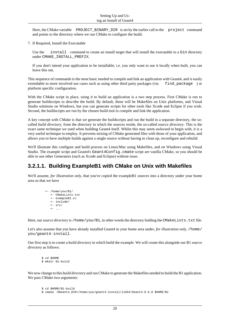Here, the CMake variable [PROJECT\\_BINARY\\_DIR](http://www.cmake.org/cmake/help/v2.8.10/cmake.html#variable:PROJECT_BINARY_DIR) is set by the earlier call to the [project](http://www.cmake.org/cmake/help/v2.8.10/cmake.html#command:project) command and points to the directory where we run CMake to configure the build.

7. If Required, Install the Executable

Use the [install](http://www.cmake.org/cmake/help/v2.8.10/cmake.html#command:install) command to create an install target that will install the executable to a bin directory under CMAKE\_INSTALL\_PREFIX.

If you don't intend your application to be installable, i.e. you only want to use it locally when built, you can leave this out.

This sequence of commands is the most basic needed to compile and link an application with Geant4, and is easily extendable to more involved use cases such as using other third party packages (via find package ) or platform specific configuration.

With the CMake script in place, using it to build an application is a two step process. First CMake is run to generate buildscripts to describe the build. By default, these will be Makefiles on Unix platforms, and Visual Studio solutions on Windows, but you can generate scripts for [other tools like Xcode and Eclipse](http://www.cmake.org/cmake/help/v2.8.10/cmake.html#section_Generators) if you wish. Second, the buildscripts are run by the chosen build tool to compile and link the application.

A key concept with CMake is that we generate the buildscripts and run the build in a separate directory, the socalled *build directory*, from the directory in which the sources reside, the so-called *source directory*. This is the exact same technique we used when building Geant4 itself. Whilst this may seem awkward to begin with, it is a very useful technique to employ. It prevents mixing of CMake generated files with those of your application, and allows you to have multiple builds against a single source without having to clean up, reconfigure and rebuild.

We'll illustrate this configure and build process on Linux/Mac using Makefiles, and on Windows using Visual Studio. The example script and Geant4's Geant4Config.cmake script are vanilla CMake, so you should be able to use other Generators (such as Xcode and Eclipse) without issue.

#### **3.2.1.1. Building ExampleB1 with CMake on Unix with Makefiles**

We'll assume, *for illustration only*, that you've copied the exampleB1 sources into a directory under your home area so that we have

```
 +- /home/you/B1/
    +- CMakeLists.txt
    +- exampleB1.cc
    +- include/
   +- src/
   +- \ldots
```
Here, our *source directory* is /home/you/B1, in other words the directory holding the CMakeLists.txt file.

Let's also assume that you have already installed Geant4 in your home area under, *for illustration only*, /home/ you/geant4-install.

Our first step is to create a *build directory* in which build the example. We will create this alongside our B1 *source directory* as follows:

```
 $ cd $HOME
 $ mkdir B1-build
```
We now change to this *build directory* and run CMake to generate the Makefiles needed to build the B1 application. We pass CMake two arguments:

```
 $ cd $HOME/B1-build
 $ cmake -DGeant4_DIR=/home/you/geant4-install/lib64/Geant4-9.6.0 $HOME/B1
```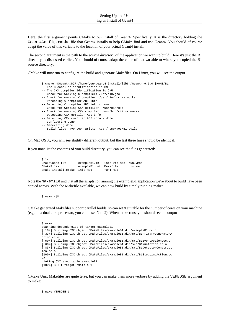Here, the first argument points CMake to our install of Geant4. Specifically, it is the directory holding the Geant4Config.cmake file that Geant4 installs to help CMake find and use Geant4. You should of course adapt the value of this variable to the location of your actual Geant4 install.

The second argument is the path to the *source directory* of the application we want to build. Here it's just the B1 directory as discussed earlier. You should of course adapt the value of that variable to where you copied the B1 source directory.

CMake will now run to configure the build and generate Makefiles. On Linux, you will see the output

 \$ cmake -DGeant4\_DIR=/home/you/geant4-install/lib64/Geant4-9.6.0 \$HOME/B1 -- The C compiler identification is GNU -- The CXX compiler identification is GNU -- Check for working C compiler: /usr/bin/gcc -- Check for working C compiler: /usr/bin/gcc -- works -- Detecting C compiler ABI info -- Detecting C compiler ABI info - done -- Check for working CXX compiler: /usr/bin/c++ -- Check for working CXX compiler: /usr/bin/c++ -- works -- Detecting CXX compiler ABI info -- Detecting CXX compiler ABI info - done -- Configuring done -- Generating done -- Build files have been written to: /home/you/B1-build

On Mac OS X, you will see slightly different output, but the last three lines should be identical.

If you now list the contents of you build directory, you can see the files generated:

 $$1s$  CMakeCache.txt exampleB1.in init\_vis.mac run2.mac CMakeFiles exampleB1.out Makefile vis.mac cmake\_install.cmake init.mac run1.mac

Note the Makefile and that all the scripts for running the exampleB1 application we're about to build have been copied across. With the Makefile available, we can now build by simply running make:

\$ make -jN

CMake generated Makefiles support parallel builds, so can set N suitable for the number of cores on your machine (e.g. on a dual core processor, you could set N to 2). When make runs, you should see the output

```
 $ make
 Scanning dependencies of target exampleB1
 [ 16%] Building CXX object CMakeFiles/exampleB1.dir/exampleB1.cc.o
 [ 33%] Building CXX object CMakeFiles/exampleB1.dir/src/B1PrimaryGeneratorA
 ction.cc.o
 [ 50%] Building CXX object CMakeFiles/exampleB1.dir/src/B1EventAction.cc.o
 [ 66%] Building CXX object CMakeFiles/exampleB1.dir/src/B1RunAction.cc.o
 [ 83%] Building CXX object CMakeFiles/exampleB1.dir/src/B1DetectorConstruct
 ion.cc.o
 [100%] Building CXX object CMakeFiles/exampleB1.dir/src/B1SteppingAction.cc
 .o
 Linking CXX executable exampleB1
 [100%] Built target exampleB1
```
CMake Unix Makefiles are quite terse, but you can make them more verbose by adding the VERBOSE argument to make:

\$ make VERBOSE=1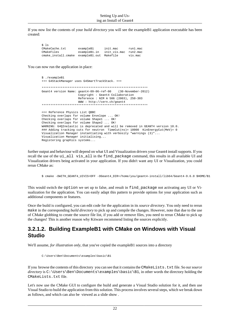If you now list the contents of your *build directory* you will see the exampleB1 application executable has been created:

| S ls |                                            |              |              |          |
|------|--------------------------------------------|--------------|--------------|----------|
|      | CMakeCache.txt                             | exampleB1    | init.mac     | run1.mac |
|      | CMakeFiles                                 | exampleB1.in | init vis.mac | run2.mac |
|      | cmake install.cmake exampleB1.out Makefile |              |              | vis.mac  |

You can now run the application in place:

```
 $ ./exampleB1
 +++ G4StackManager uses G4SmartTrackStack. +++
 *************************************************************
Geant4 version Name: geant4-09-06-ref-00
                       Copyright : Geant4 Collaboration
                       Reference : NIM A 506 (2003), 250-303
                       WWW : http://cern.ch/geant4
 *************************************************************
 <<< Reference Physics List QBBC 
 Checking overlaps for volume Envelope ... OK! 
 Checking overlaps for volume Shape1 ... OK! 
Checking overlaps for volume Shape2 ... OK!
 WARNING: G4QInelastic is deprecated and will be removed in GEANT4 version 10.0.
### Adding tracking cuts for neutron TimeCut(ns)= 10000 KinEnergyCut(MeV)= 0
 Visualization Manager instantiating with verbosity "warnings (3)"...
 Visualization Manager initialising...
 Registering graphics systems...
```
further output and behaviour will depend on what UI and Visualization drivers your Geant4 install supports. If you recall the use of the ui\_all vis\_all in the find\_package command, this results in all available UI and Visualization drivers being activated in your application. If you didn't want any UI or Visualization, you could rerun CMake as:

\$ cmake -DWITH\_GEANT4\_UIVIS=OFF -DGeant4\_DIR=/home/you/geant4-install/lib64/Geant4-9.6.0 \$HOME/B1

This would switch the option we set up to false, and result in find\_package not activating any UI or Visualization for the application. You can easily adapt this pattern to provide options for your application such as additional components or features.

Once the build is configured, you can edit code for the application in its *source directory*. You only need to rerun make in the corresponding *build directory* to pick up and compile the changes. However, note that due to the use of CMake globbing to create the source file list, if you add or remove files, you need to rerun CMake to pick up the changes! This is another reason why Kitware recommend listing the sources explicitly.

#### **3.2.1.2. Building ExampleB1 with CMake on Windows with Visual Studio**

We'll assume, *for illustration only*, that you've copied the exampleB1 sources into a directory

```
 C:\Users\Ben\Documents\examples\basic\B1
```
If you [browse the contents of this directory](http://www2.warwick.ac.uk/fac/sci/physics/staff/research/bmorgan/geant4/buildingwindowsapps/step_01_locate_source_directory.png) you can see that it contains the CMakeLists.txt file. So our *source directory* is C:\Users\Ben\Documents\examples\basic\B1, in other words the directory holding the CMakeLists.txt file.

Let's now use the CMake GUI to configure the build and generate a Visual Studio solution for it, and then use Visual Studio to build the application from this solution. This process involves several steps, which we break down as follows, and which can also be [viewed as a slide show](http://www2.warwick.ac.uk/fac/sci/physics/staff/research/bmorgan/geant4/buildingwindowsapps/) .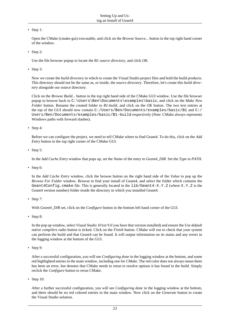• [Step 1:](http://www2.warwick.ac.uk/fac/sci/physics/staff/research/bmorgan/geant4/buildingwindowsapps/step_02_click_on_browse_source.png)

Open the CMake (cmake-gui) executable, and click on the *Browse Source...* button in the top right hand corner of the window.

• [Step 2:](http://www2.warwick.ac.uk/fac/sci/physics/staff/research/bmorgan/geant4/buildingwindowsapps/step_03_select_b1_source_directory.png)

Use the file browser popup to locate the B1 *source directory*, and click *OK*.

• [Step 3:](http://www2.warwick.ac.uk/fac/sci/physics/staff/research/bmorgan/geant4/buildingwindowsapps/step_04_create_b1_build_directory.png)

Now we create the *build directory* in which to create the Visual Studio project files and hold the build products. This directory should not be the same as, or inside, the *source directory*. Therefore, let's create this *build directory* alongside our source directory.

Click on the *Browse Build...* button in the top right hand side of the CMake GUI window. Use the file browser popup to browse back to C:\Users\Ben\Documents\examples\basic, and click on the *Make New Folder* button. Rename the created folder to *B1-build*, and click on the *OK* button. The two text entries at the top of the GUI should now contain C:/Users/Ben/Documents/examples/basic/B1 and C:/ Users/Ben/Documents/examples/basic/B1-build respectively (*Note*: CMake always represents Windows paths with forward slashes).

• [Step 4:](http://www2.warwick.ac.uk/fac/sci/physics/staff/research/bmorgan/geant4/buildingwindowsapps/step_05_add_cache_entry.png)

Before we can configure the project, we need to tell CMake where to find Geant4. To do this, click on the *Add Entry* button in the top right corner of the CMake GUI.

• [Step 5:](http://www2.warwick.ac.uk/fac/sci/physics/staff/research/bmorgan/geant4/buildingwindowsapps/step_06_name_cache_entry.png)

In the *Add Cache Entry* window that pops up, set the *Name* of the entry to *Geant4\_DIR*. Set the *Type* to *PATH*.

• [Step 6:](http://www2.warwick.ac.uk/fac/sci/physics/staff/research/bmorgan/geant4/buildingwindowsapps/step_07_select_geant4_dir.png)

In the *Add Cache Entry* window, click the browse button on the right hand side of the *Value* to pop up the *Browse For Folder* window. Browse to find your install of Geant4, and select the folder which contains the Geant4Config.cmake file. This is generally located in the  $lib/Geant4-X.Y.Z$  (where  $X.Y.Z$  is the Geant4 version number) folder inside the directory in which you installed Geant4.

• [Step 7:](http://www2.warwick.ac.uk/fac/sci/physics/staff/research/bmorgan/geant4/buildingwindowsapps/step_08_click_on_configure.png)

With *Geant4* DIR set, click on the *Configure* button in the bottom left hand corner of the GUI.

• [Step 8:](http://www2.warwick.ac.uk/fac/sci/physics/staff/research/bmorgan/geant4/buildingwindowsapps/step_09_choose_generator.png)

In the pop up window, select *Visual Studio 10* (or 9 if you have that version installed) and ensure the *Use default native compilers* radio button is ticked. Click on the *Finish* button. CMake will run to check that your system can perform the build and that Geant4 can be found. It will output information on its status and any errors in the logging window at the bottom of the GUI.

• [Step 9:](http://www2.warwick.ac.uk/fac/sci/physics/staff/research/bmorgan/geant4/buildingwindowsapps/step_10_first_reconfigure.png)

After a successful configuration, you will see *Configuring done* in the logging window at the bottom, and some red highlighted entries in the main window, including one for *CMake*. The red color does not always mean there has been an error, but denotes that CMake needs to rerun to resolve options it has found in the build. Simply reclick the *Configure* button to rerun CMake.

• [Step 10:](http://www2.warwick.ac.uk/fac/sci/physics/staff/research/bmorgan/geant4/buildingwindowsapps/step_11_good_conf_generate.png)

After a further successful configuration, you will see *Configuring done* in the logging window at the bottom, and there should be no red colored entries in the main window. Now click on the *Generate* button to create the Visual Studio solution.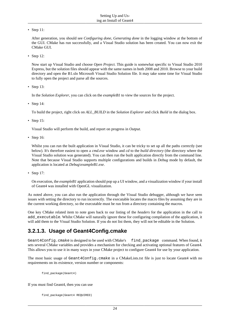• [Step 11:](http://www2.warwick.ac.uk/fac/sci/physics/staff/research/bmorgan/geant4/buildingwindowsapps/step_12_end_of_cmake.png)

After generation, you should see *Configuring done, Generating done* in the logging window at the bottom of the GUI. CMake has run successfully, and a Visual Studio solution has been created. You can now exit the CMake GUI.

• [Step 12:](http://www2.warwick.ac.uk/fac/sci/physics/staff/research/bmorgan/geant4/buildingwindowsapps/step_13_open_project.png)

Now start up Visual Studio and choose *Open Project*. This guide is somewhat specific to Visual Studio 2010 Express, but the solution files should appear with the same names in both 2008 and 2010. Browse to your build directory and open the B1.sln Microsoft Visual Studio Solution file. It may take some time for Visual Studio to fully open the project and parse all the sources.

• [Step 13:](http://www2.warwick.ac.uk/fac/sci/physics/staff/research/bmorgan/geant4/buildingwindowsapps/step_14_project_showing_sources.png)

In the *Solution Explorer*, you can click on the *exampleB1* to view the sources for the project.

• [Step 14:](http://www2.warwick.ac.uk/fac/sci/physics/staff/research/bmorgan/geant4/buildingwindowsapps/step_15_build_all_build.png)

To build the project, right click on *ALL\_BUILD* in the *Solution Explorer* and click *Build* in the dialog box.

• [Step 15:](http://www2.warwick.ac.uk/fac/sci/physics/staff/research/bmorgan/geant4/buildingwindowsapps/step_16_successful_build.png)

Visual Studio will perform the build, and report on progress in *Output*.

• [Step 16:](http://www2.warwick.ac.uk/fac/sci/physics/staff/research/bmorgan/geant4/buildingwindowsapps/step_17_open_cmd_and_and_cd.png)

Whilst you can run the built application in Visual Studio, it can be tricky to set up all the paths correctly (see below). It's therefore easiest to open a *cmd.exe* window and *cd* to the *build directory* (the directory where the Visual Studio solution was generated). You can then run the built application directly from the command line. Note that because Visual Studio supports multiple configurations and builds in *Debug* mode by default, the application is located at *Debug\exampleB1.exe*.

• [Step 17:](http://www2.warwick.ac.uk/fac/sci/physics/staff/research/bmorgan/geant4/buildingwindowsapps/step_18_running_app.png)

On execution, the *exampleB1* application should pop up a UI window, and a visualization window if your install of Geant4 was installed with OpenGL visualization.

As noted above, you can also run the application through the Visual Studio debugger, although we have seen issues with setting the directory to run incorrectly. The executable locates the macro files by assuming they are in the current working directory, so the executable must be run from a directory containing the macros.

One key CMake related item to note goes back to our listing of the *headers* for the application in the call to add\_executable. Whilst CMake will naturally ignore these for configuring compilation of the application, it will add them to the Visual Studio Solution. If you do not list them, they will not be editable in the Solution.

#### **3.2.1.3. Usage of Geant4Config.cmake**

Geant4Config.cmake is designed to be used with CMake's find package command. When found, it sets several CMake variables and provides a mechanism for checking and activating optional features of Geant4. This allows you to use it in many ways in your CMake project to configure Geant4 for use by your application.

The most basic usage of Geant4Config.cmake in a CMakeLists.txt file is just to locate Geant4 with no requirements on its existence, version number or components:

find package(Geant4)

If you must find Geant4, then you can use

```
find package(Geant4 REQUIRED)
```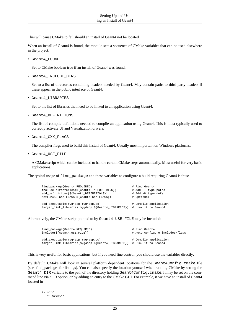This will cause CMake to fail should an install of Geant4 not be located.

When an install of Geant4 is found, the module sets a sequence of CMake variables that can be used elsewhere in the project:

• Geant4\_FOUND

Set to CMake boolean true if an install of Geant4 was found.

• Geant4\_INCLUDE\_DIRS

Set to a list of directories containing headers needed by Geant4. May contain paths to third party headers if these appear in the public interface of Geant4.

• Geant4\_LIBRARIES

Set to the list of libraries that need to be linked to an application using Geant4.

• Geant4\_DEFINITIONS

The list of compile definitions needed to compile an application using Geant4. This is most typically used to correctly activate UI and Visualization drivers.

• Geant4\_CXX\_FLAGS

The compiler flags used to build this install of Geant4. Usually most important on Windows platforms.

• Geant4\_USE\_FILE

A CMake script which can be included to handle certain CMake steps automatically. Most useful for very basic applications.

The typical usage of find\_package and these variables to configure a build requiring Geant4 is thus:

| find_package(Geant4 REQUIRED)<br>include_directories(\${Geant4_INCLUDE_DIRS})<br>add_definitions(\${Geant4_DEFINITIONS})<br>set(CMAKE_CXX_FLAGS \${Geant4_CXX_FLAGS}) | # Find Geant4<br># Add -I type paths<br># Add -D type defs<br># Optional |
|-----------------------------------------------------------------------------------------------------------------------------------------------------------------------|--------------------------------------------------------------------------|
| add_executable(myg4app myg4app.cc)<br>target_link_libraries(myg4app \${Geant4_LIBRARIES}) # Link it to Geant4                                                         | # Compile application                                                    |

Alternatively, the CMake script pointed to by Geant4\_USE\_FILE may be included:

| find package (Geant4 REQUIRED)<br>$include({$\S${Geant4_USE_FILE}$})$                                         | # Find Geant4<br># Auto configure includes/flags |
|---------------------------------------------------------------------------------------------------------------|--------------------------------------------------|
| add executable(myq4app myq4app.cc)<br>target_link_libraries(myg4app \${Geant4_LIBRARIES}) # Link it to Geant4 | # Compile application                            |

This is very useful for basic applications, but if you need fine control, you should use the variables directly.

By default, CMake will look in several platform dependent locations for the Geant4Config.cmake file (see [find\\_package](http://www.cmake.org/cmake/help/v2.8.10/cmake.html#command:find_package) for listings). You can also specify the location yourself when running CMake by setting the Geant4\_DIR variable to the path of the directory holding Geant4Config.cmake. It may be set on the command line via a -D option, or by adding an entry to the CMake GUI. For example, if we have an install of Geant4 located in

 +- opt/ +- Geant4/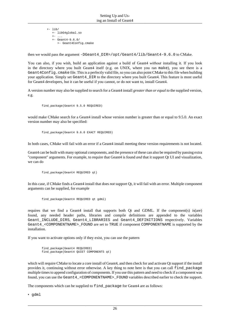$+- 1ib/$  +- libG4global.so  $+-$  ... +- Geant4-9.6.0/ +- Geant4Config.cmake

then we would pass the argument -DGeant4\_DIR=/opt/Geant4/lib/Geant4-9.6.0 to CMake.

You can also, if you wish, build an application against a build of Geant4 *without* installing it. If you look in the directory where you built Geant4 itself (e.g. on UNIX, where you ran make), you see there is a Geant 4 Config.cmake file. This is a perfectly valid file, so you can also point CMake to this file when building your application. Simply set Geant4\_DIR to the directory where you built Geant4. This feature is most useful for Geant4 developers, but it can be useful if you cannot, or do not want to, install Geant4.

A version number may also be supplied to search for a Geant4 install *greater than or equal to* the supplied version, e.g.

find\_package(Geant4 9.5.0 REQUIRED)

would make CMake search for a Geant4 install whose version number is greater than or equal to 9.5.0. An exact version number may also be specified:

find package(Geant4 9.6.0 EXACT REQUIRED)

In both cases, CMake will fail with an error if a Geant4 install meeting these version requirements is not located.

Geant4 can be built with many optional components, and the presence of these can also be required by passing extra "component" arguments. For example, to require that Geant4 is found *and* that it support Qt UI and visualization, we can do

find\_package(Geant4 REQUIRED qt)

In this case, if CMake finds a Geant4 install that does *not* support Qt, it will fail with an error. Multiple component arguments can be supplied, for example

find\_package(Geant4 REQUIRED qt gdml)

requires that we find a Geant4 install that supports both Qt and GDML. If the component(s) is(are) found, any needed header paths, libraries and compile definitions are appended to the variables Geant\_INCLUDE\_DIRS, Geant4\_LIBRARIES and Geant4\_DEFINITIONS respectively. Variables Geant4\_<COMPONENTNAME>\_FOUND are set to TRUE if component COMPONENTNAME is supported by the installation.

If you want to activate options only if they exist, you can use the pattern

```
 find_package(Geant4 REQUIRED)
 find_package(Geant4 QUIET COMPONENTS qt)
```
which will require CMake to locate a core install of Geant4, and then check for and activate Qt support if the install provides it, continuing without error otherwise. A key thing to note here is that you can call find\_package multiple times to append configuration of components. If you use this pattern and need to check if a component was found, you can use the Geant 4 < COMPONENTNAME> FOUND variables described earlier to check the support.

The components which can be supplied to find package for Geant4 are as follows:

• gdml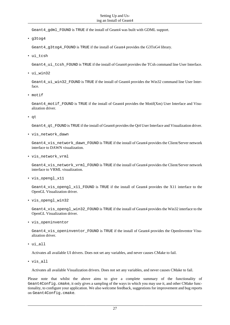Geant4\_gdml\_FOUND is TRUE if the install of Geant4 was built with GDML support.

• g3tog4

Geant4\_g3tog4\_FOUND is TRUE if the install of Geant4 provides the G3ToG4 library.

• ui\_tcsh

Geant4\_ui\_tcsh\_FOUND is TRUE if the install of Geant4 provides the TCsh command line User Interface.

• ui\_win32

Geant4\_ui\_win32\_FOUND is TRUE if the install of Geant4 provides the Win32 command line User Interface.

• motif

Geant4 motif FOUND is TRUE if the install of Geant4 provides the Motif(Xm) User Interface and Visualization driver.

• qt

Geant4\_qt\_FOUND is TRUE if the install of Geant4 provides the Qt4 User Interface and Visualization driver.

• vis\_network\_dawn

Geant4 vis network dawn FOUND is TRUE if the install of Geant4 provides the Client/Server network interface to DAWN visualization.

• vis\_network\_vrml

Geant4\_vis\_network\_vrml\_FOUND is TRUE if the install of Geant4 provides the Client/Server network interface to VRML visualization.

• vis\_opengl\_x11

Geant4 vis opengl x11 FOUND is TRUE if the install of Geant4 provides the X11 interface to the OpenGL Visualization driver.

• vis\_opengl\_win32

Geant 4 vis opengl win32 FOUND is TRUE if the install of Geant4 provides the Win32 interface to the OpenGL Visualization driver.

• vis\_openinventor

Geant4 vis openinventor FOUND is TRUE if the install of Geant4 provides the OpenInventor Visualization driver.

• ui\_all

Activates all available UI drivers. Does not set any variables, and never causes CMake to fail.

• vis\_all

Activates all available Visualization drivers. Does not set any variables, and never causes CMake to fail.

Please note that whilst the above aims to give a complete summary of the functionality of Geant 4 Config.cmake, it only gives a sampling of the ways in which you may use it, and other CMake functionality, to configure your application. We also welcome feedback, suggestions for improvement and bug reports on Geant4Config.cmake.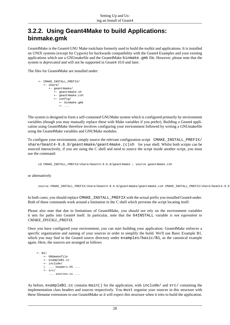#### <span id="page-30-0"></span>**3.2.2. Using Geant4Make to build Applications: binmake.gmk**

Geant4Make is the Geant4 GNU Make toolchain formerly used to build the toolkit and applications. It is installed on UNIX systems (except for Cygwin) for backwards compatibility with the Geant4 Examples and your existing applications which use a GNUmakefile and the Geant4Make binmake.gmk file. However, please note that the system is *deprecated* and will not be supported in Geant4 10.0 and later.

The files for Geant4Make are installed under:

```
 +- CMAKE_INSTALL_PREFIX/
    +- share/
        +- geant4make/
           +- geant4make.sh
           +- geant4make.csh
           +- config/
               +- binmake.gmk
              +- \cdot \cdot \cdot
```
The system is designed to form a self-contained GNUMake system which is configured primarily by environment variables (though you may manually replace these with Make variables if you prefer). Building a Geant4 application using Geant4Make therefore involves configuring your environment followed by writing a GNUmakefile using the Geant4Make variables and GNUMake modules.

To configure your environment, simply source the relevant configuration script CMAKE\_INSTALL\_PREFIX/ share/Geant4-9.6.0/geant4make/geant4make.(c)sh for your shell. Whilst both scripts can be sourced interactively, if you are using the C shell and need to source the script inside another script, you must use the command:

cd CMAKE\_INSTALL\_PREFIX/share/Geant4-9.6.0/geant4make ; source geant4make.csh

or alternatively

source CMAKE\_INSTALL\_PREFIX/share/Geant4-9.6.0/geant4make/geant4make.csh CMAKE\_INSTALL\_PREFIX/share/Geant4-9.6.0/geant4make

In both cases, you should replace CMAKE\_INSTALL\_PREFIX with the actual prefix you installed Geant4 under. Both of these commands work around a limitation in the C shell which prevents the script locating itself.

Please also note that due to limitations of Geant4Make, you *should not* rely on the environment variables it sets for paths into Geant4 itself. In particular, note that the G4INSTALL variable *is not equivalent to CMAKE\_INSTALL\_PREFIX*.

Once you have configured your environment, you can start building your application. Geant4Make enforces a specific organization and naming of your sources in order to simplify the build. We'll use Basic Example B1, which you may find in the Geant4 source directory under examples/basic/B1, as the canonical example again. Here, the sources are arranged as follows

```
+- B1/
    +- GNUmakefile
     +- exampleB1.cc
     +- include/
     | ... headers.hh ...
    +- src/
        ... sources.cc ...
```
As before, exampleB1.cc contains main() for the application, with include/ and src/ containing the implementation class headers and sources respectively. You must organise your sources in this structure with these filename extensions to use Geant4Make as it will expect this structure when it tries to build the application.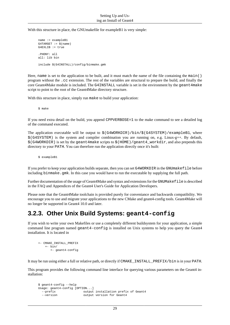#### With this structure in place, the GNUmakefile for exampleB1 is very simple:

```
 name := exampleB1
G4TARGE: = \S(name) G4EXLIB := true
 .PHONY: all
 all: lib bin
 include $(G4INSTALL)/config/binmake.gmk
```
Here, name is set to the application to be built, and it must match the name of the file containing the main() program without the .cc extension. The rest of the variables are structural to prepare the build, and finally the core Geant4Make module is included. The G4INSTALL variable is set in the environment by the geant4make script to point to the root of the Geant4Make directory structure.

With this structure in place, simply run make to build your application:

\$ make

If you need extra detail on the build, you append CPPVERBOSE=1 to the make command to see a detailed log of the command executed.

The application executable will be output to  $$(G4WORKDIR)/bin/$(G4SYSTEM)/examples1, where$  $\zeta$ (G4SYSTEM) is the system and compiler combination you are running on, e.g. Linux-g++. By default,  $$$  (G4WORKDIR) is set by the geant4make scripts to  $$$  (HOME)/geant4\_workdir, and also prepends this directory to your PATH. You can therefore run the application directly once it's built:

\$ exampleB1

If you prefer to keep your application builds separate, then you can set G4WORKDIR in the GNUmakefile before including binmake.gmk. In this case you would have to run the executable by supplying the full path.

Further documentation of the usage of Geant4Make and syntax and extensions for the GNUMakefile is described in the FAQ and Appendices of the [Geant4 User's Guide for Application Developers.](http://geant4.web.cern.ch/geant4/UserDocumentation/UsersGuides/ForApplicationDeveloper/html/index.html)

Please note that the Geant4Make toolchain is provided purely for conveniance and backwards compatibility. We encourage you to use and migrate your applications to the new CMake and geant4-config tools. Geant4Make will no longer be supported in Geant4 10.0 and later.

#### <span id="page-31-0"></span>**3.2.3. Other Unix Build Systems: geant4-config**

If you wish to write your own Makefiles or use a completely different buildsystem for your application, a simple command line program named geant4-config is installed on Unix systems to help you query the Geant4 installation. It is located in

```
+- CMAKE INSTALL PREFIX
   +- bin/ +- geant4-config
```
It may be run using either a full or relative path, or directly if CMAKE\_INSTALL\_PREFIX/bin is in your PATH.

This program provides the following command line interface for querying various parameters on the Geant4 installation:

```
 $ geant4-config --help
 Usage: geant4-config [OPTION...]
 --prefix output installation prefix of Geant4
  --version output version for Geant4
```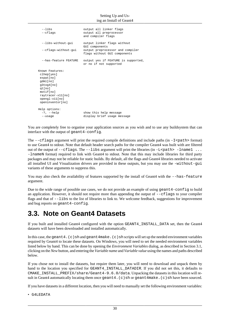#### Setting Up and Using an Install of Geant4

| --cflags                                                                                                                                               | output all preprocessor<br>and compiler flags                                                                     |
|--------------------------------------------------------------------------------------------------------------------------------------------------------|-------------------------------------------------------------------------------------------------------------------|
| --libs-without-qui<br>--cflags-without-qui                                                                                                             | output linker flags without<br>GUI components<br>output preprocessor and compiler<br>flags without GUI components |
| --has-feature FEATURE                                                                                                                                  | output yes if FEATURE is supported,<br>or no if not supported                                                     |
| Known Features:<br>clhep[yes]<br>expat[no]<br>qdml[no]<br>q3toq4[no]<br>gt[no]<br>motif[no]<br>raytracer-x11[no]<br>opengl-x11[no]<br>openinventor[no] |                                                                                                                   |
| Help options:<br>$-?$ , $-$ help<br>$-$ -usaqe                                                                                                         | show this help message<br>display brief usage message                                                             |

You are completely free to organise your application sources as you wish and to use any buildsystem that can interface with the output of geant4-config.

The  $-\text{cf}$  lags argument will print the required compile definitions and include paths (in  $-I$   $\epsilon$  path> format) to use Geant4 to stdout. Note that default header search paths for the compiler Geant4 was built with are filtered out of the output of  $--cflags$ . The  $--libs$  argument will print the libraries (in  $-L$   $~c$  path  $>$  -lname1... -lnameN format) required to link with Geant4 to stdout. Note that this may include libraries for third party packages and may not be reliable for static builds. By default, all the flags and Geant4 libraries needed to activate all installed UI and Visualization drivers are provided in these outputs, but you may use the -without-gui variants of these arguments to suppress this.

You may also check the availability of features supported by the install of Geant4 with the  $-$ -has-feature argument.

Due to the wide range of possible use cases, we do not provide an example of using geant 4-config to build an application. However, it should not require more than appending the output of --cflags to your compiler flags and that of  $-\text{-}$ libs to the list of libraries to link to. We welcome feedback, suggestions for improvement and bug reports on geant4-config.

#### <span id="page-32-0"></span>**3.3. Note on Geant4 Datasets**

If you built and installed Geant4 configured with the option GEANT4\_INSTALL\_DATA set, then the [Geant4](http://geant4.web.cern.ch/geant4/support/datafiles_origin.shtml) [datasets](http://geant4.web.cern.ch/geant4/support/datafiles_origin.shtml) will have been downloaded and installed automatically.

In this case, the geant 4. (c)sh and geant 4make. (c) sh scripts will set up the needed environment variables required by Geant4 to locate these datasets. On Windows, you will need to set the needed environment variables listed below by hand. This can be done by opening the *Environment Variables* dialog, as described in [Section 3.1,](#page-18-1) [clicking on the](http://www2.warwick.ac.uk/fac/sci/physics/staff/research/bmorgan/geant4/installingonwindows/step_20_create_new_variable.png) *New* button, and entering the *Variable name* and *[Variable value](http://www2.warwick.ac.uk/fac/sci/physics/staff/research/bmorgan/geant4/installingonwindows/step_21_create_new_variable_entry.png)* using the names and paths described below.

If you chose not to install the datasets, but require them later, you will need to download and unpack them by hand to the location you specified for GEANT4\_INSTALL\_DATADIR. If you did not set this, it defaults to CMAKE\_INSTALL\_PREFIX/share/Geant4-9.6.0/data. Unpacking the datasets in this location will result in Geant4 automatically locating them once geant4. (c) sh or geant4make. (c) sh have been sourced.

If you have datasets in a different location, then you will need to manually set the following environment variables:

• G4LEDATA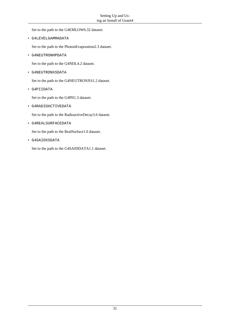Set to the path to the G4EMLOW6.32 dataset.

• G4LEVELGAMMADATA

Set to the path to the PhotonEvaporation2.3 dataset.

• G4NEUTRONHPDATA

Set to the path to the G4NDL4.2 dataset.

• G4NEUTRONXSDATA

Set to the path to the G4NEUTRONXS1.2 dataset.

• G4PIIDATA

Set to the path to the G4PII1.3 dataset.

• G4RADIOACTIVEDATA

Set to the path to the RadioactiveDecay3.6 dataset.

• G4REALSURFACEDATA

Set to the path to the RealSurface1.0 dataset.

• G4SAIDXSDATA

Set to the path to the G4SAIDDATA1.1 dataset.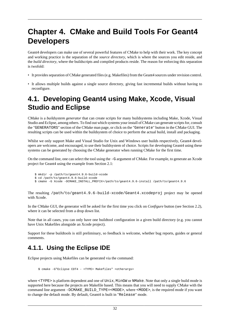# <span id="page-34-0"></span>**Chapter 4. CMake and Build Tools For Geant4 Developers**

Geant4 developers can make use of several powerful features of CMake to help with their work. The key concept and working practice is the separation of the *source directory*, which is where the sources you edit reside, and the *build directory*, where the buildscripts and compiled products reside. The reason for enforcing this separation is twofold:

- It provides separation of CMake generated files (e.g. Makefiles) from the Geant4 sources under revision control.
- It allows multiple builds against a single source directory, giving fast incremental builds without having to reconfigure.

## <span id="page-34-1"></span>**4.1. Developing Geant4 using Make, Xcode, Visual Studio and Eclipse**

CMake is a *buildsystem generator* that can create scripts for many buildsystems including Make, Xcode, Visual Studio and Eclipse, [among others](http://www.cmake.org/cmake/help/cmake-2-8-docs.html#section_Generators). To find out which systems your install of CMake can generate scripts for, consult the "GENERATORS" section of the CMake man page, or click on the "Generate" button in the CMake GUI. The resulting scripts can be used within the buildsystem of choice to perform the actual build, install and packaging.

Whilst we only support Make and Visual Studio for Unix and Windows user builds respectively, Geant4 developers are welcome, and encouraged, to use their buildsystem of choice. Scripts for developing Geant4 using these systems can be generated by choosing the CMake generator when running CMake for the first time.

On the command line, one can select the tool using the -G argument of CMake. For example, to generate an Xcode project for Geant4 using the example from [Section 2.1](#page-6-1):

```
 $ mkdir -p /path/to/geant4.9.6-build-xcode
 $ cd /path/to/geant4.9.6-build-xcode
 $ cmake -G Xcode -DCMAKE_INSTALL_PREFIX=/path/to/geant4.9.6-install /path/to/geant4.9.6
```
The resulting /path/to/geant4.9.6-build-xcode/Geant4.xcodeproj project may be opened with Xcode.

In the CMake GUI, the generator will be asked for the first time you click on *Configure* button (see [Section 2.2](#page-8-0)), where it can be selected from a drop down list.

Note that in all cases, you can only have one buildtool configuration in a given build directory (e.g. you cannot have Unix Makefiles alongside an Xcode project).

Support for these buildtools is still preliminary, so feedback is welcome, whether bug reports, guides or general comments.

#### <span id="page-34-2"></span>**4.1.1. Using the Eclipse IDE**

Eclipse projects using Makefiles can be generated via the command:

\$ cmake -G"Eclipse CDT4 - <TYPE> Makefiles" <otherargs>

where <TYPE> is platform dependent and one of Unix, MinGW or NMake. Note that only a single build mode is supported here because the projects are Makefile based. This means that you will need to supply CMake with the command line argument -DCMAKE\_BUILD\_TYPE=<MODE>, where <MODE>, is the required mode if you want to change the default mode. By default, Geant4 is built in "Release" mode.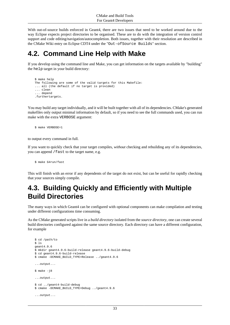With out-of-source builds enforced in Geant4, there are two issues that need to be worked around due to the way Eclipse expects project directories to be organised. These are to do with the integration of version control support and code editing/navigation/autocompletion. Both issues, together with their resolution are described in the [CMake Wiki entry on Eclipse CDT4](http://www.cmake.org/Wiki/Eclipse_CDT4_Generator) under the "Out-ofSource Builds" section.

### <span id="page-35-0"></span>**4.2. Command Line Help with Make**

If you develop using the command line and Make, you can get information on the targets available by "building" the help target in your build directory:

```
 $ make help
 The following are some of the valid targets for this Makefile:
 ... all (the default if no target is provided)
 ... clean
 ... depend
 .furthertargets.
```
You may build any target individually, and it will be built together with all of its dependencies. CMake's generated makefiles only output minimal information by default, so if you need to see the full commands used, you can run make with the extra VERBOSE argument:

```
 $ make VERBOSE=1
```
to output every command in full.

If you want to quickly check that your target compiles, *without* checking and rebuilding any of its dependencies, you can append /fast to the target name, e.g.

\$ make G4run/fast

This will finish with an error if any dependents of the target do not exist, but can be useful for rapidly checking that your sources simply compile.

## <span id="page-35-1"></span>**4.3. Building Quickly and Efficiently with Multiple Build Directories**

The many ways in which Geant4 can be configured with optional components can make compilation and testing under different configurations time consuming.

As the CMake generated scripts live in a *build directory* isolated from the *source directory*, one can create several build directories configured against the same source directory. Each directory can have a different configuration, for example

```
 $ cd /path/to 
$1s geant4.9.6
 $ mkdir geant4.9.6-build-release geant4.9.6-build-debug
 $ cd geant4.9.6-build-release
 $ cmake -DCMAKE_BUILD_TYPE=Release ../geant4.9.6
 ...output...
$ make -18 ...output...
 $ cd ../geant4-build-debug
 $ cmake -DCMAKE_BUILD_TYPE=Debug ../geant4.9.6
 ...output...
```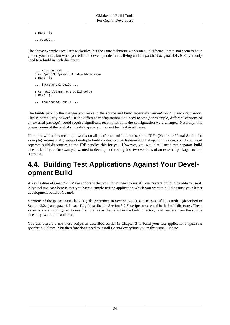$$$  make  $-18$ ...output...

The above example uses Unix Makefiles, but the same technique works on all platforms. It may not seem to have gained you much, but when you edit and develop code that is living under /path/to/geant4.9.6, you only need to rebuild in each directory:

```
 ... work on code ...
 $ cd /path/to/geant4.9.6-build-release
$ make -18 ... incremental build ...
 $ cd /path/geant4.9.6-build-debug
 $ make -j8
 ... incremental build ...
```
The builds pick up the changes you make to the source and build separately *without needing reconfiguration*. This is particularly powerful if the different configurations you need to test (for example, different versions of an external package) would require significant recompilation if the configuration were changed. Naturally, this power comes at the cost of some disk space, so may not be ideal in all cases.

Note that whilst this technique works on all platforms and buildtools, some IDEs (Xcode or Visual Studio for example) automatically support multiple build modes such as Release and Debug. In this case, you do not need separate build directories as the IDE handles this for you. However, you would still need two separate build directories if you, for example, wanted to develop and test against two versions of an external package such as Xerces-C.

## <span id="page-36-0"></span>**4.4. Building Test Applications Against Your Development Build**

A key feature of Geant4's CMake scripts is that you *do not* need to install your current build to be able to use it. A typical use case here is that you have a simple testing application which you want to build against your latest development build of Geant4.

Versions of the geant4cmake. (c)sh (described in [Section 3.2.2\)](#page-30-0), Geant4Config.cmake (described in [Section 3.2.1](#page-19-1)) and geant 4-config (described in [Section 3.2.3](#page-31-0)) scripts are created in the build directory. These versions are all configured to use the libraries as they exist in the build directory, and headers from the source directory, without installation.

You can therefore use these scripts as described earlier in [Chapter 3](#page-18-0) to build your test applications *against a specific build tree*. You therefore don't need to install Geant4 everytime you make a small update.